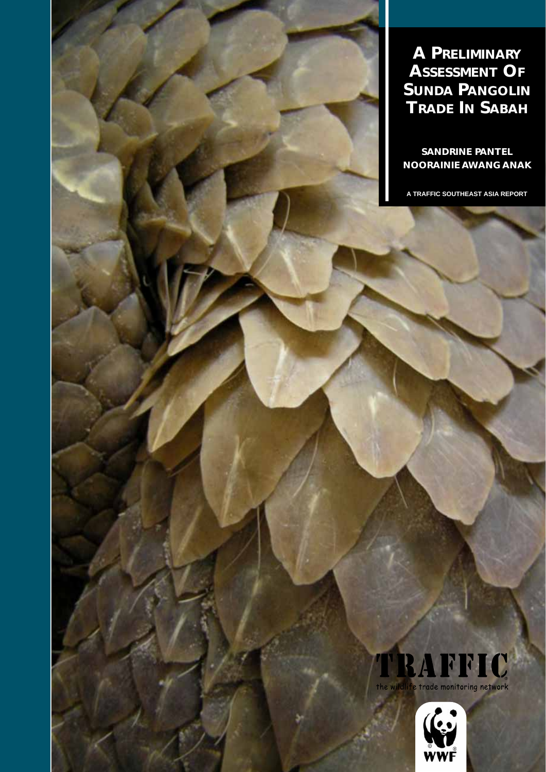**A PRELIMINARY ASSESSMENT OF SUNDA PANGOLIN TRADE IN SABAH**

**SANDRINE PANTEL NOORAINIE AWANG ANAK**

**A TRAFFIC SOUTHEAST ASIA REPORT**

# RAFFIC

the wildlit e trade monitoring network

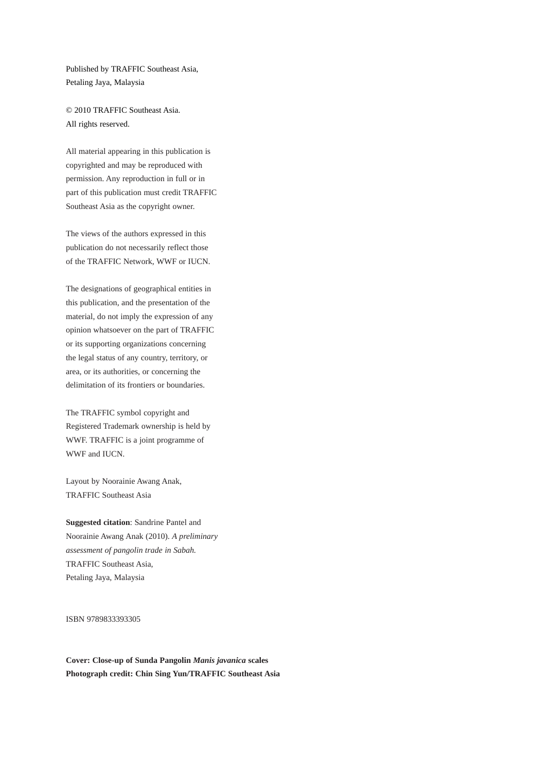Published by TRAFFIC Southeast Asia, Petaling Jaya, Malaysia

© 2010 TRAFFIC Southeast Asia. All rights reserved.

All material appearing in this publication is copyrighted and may be reproduced with permission. Any reproduction in full or in part of this publication must credit TRAFFIC Southeast Asia as the copyright owner.

The views of the authors expressed in this publication do not necessarily reflect those of the TRAFFIC Network, WWF or IUCN.

The designations of geographical entities in this publication, and the presentation of the material, do not imply the expression of any opinion whatsoever on the part of TRAFFIC or its supporting organizations concerning the legal status of any country, territory, or area, or its authorities, or concerning the delimitation of its frontiers or boundaries.

The TRAFFIC symbol copyright and Registered Trademark ownership is held by WWF. TRAFFIC is a joint programme of WWF and **IUCN**.

Layout by Noorainie Awang Anak, TRAFFIC Southeast Asia

**Suggested citation**: Sandrine Pantel and Noorainie Awang Anak (2010). *A preliminary assessment of pangolin trade in Sabah.* TRAFFIC Southeast Asia, Petaling Jaya, Malaysia

ISBN 9789833393305

**Cover: Close-up of Sunda Pangolin** *Manis javanica* **scales Photograph credit: Chin Sing Yun/TRAFFIC Southeast Asia**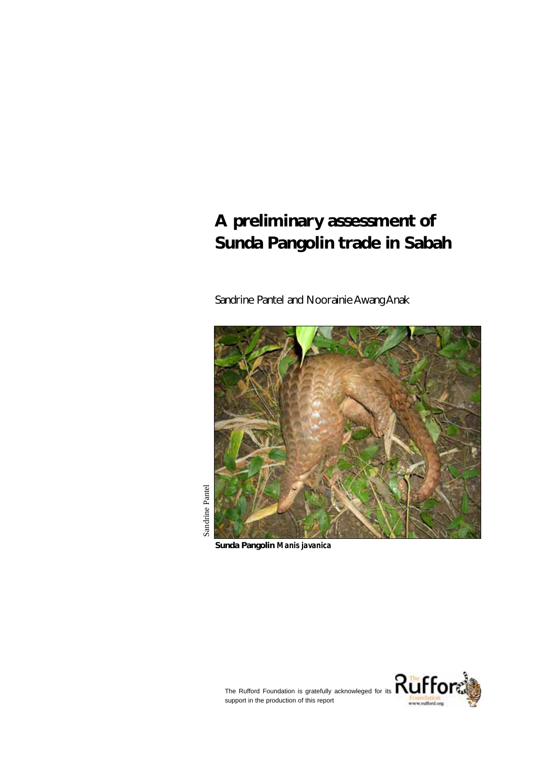## **A preliminary assessment of Sunda Pangolin trade in Sabah**

Sandrine Pantel and Noorainie Awang Anak



**Sunda Pangolin** *Manis javanica*

Sandrine Pantel



support in the production of this report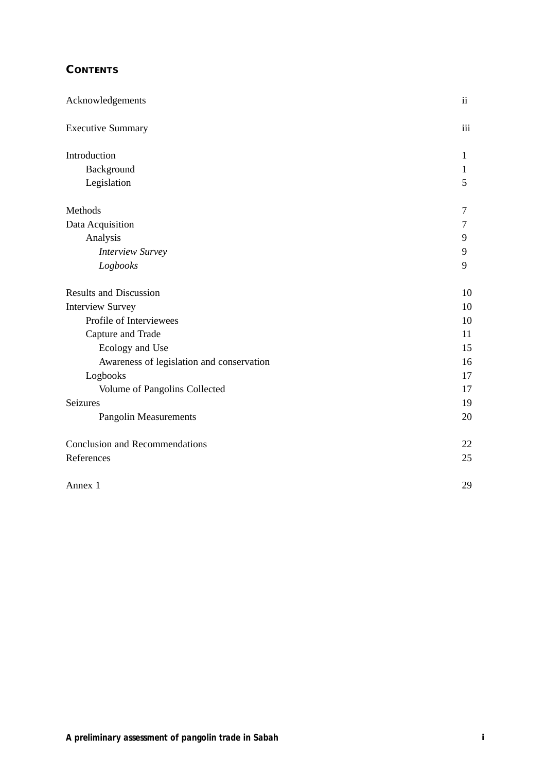## **CONTENTS**

| Acknowledgements                          | ii             |
|-------------------------------------------|----------------|
| <b>Executive Summary</b>                  | iii            |
| Introduction                              | 1              |
| Background                                | $\mathbf{1}$   |
| Legislation                               | 5              |
| Methods                                   | 7              |
| Data Acquisition                          | $\overline{7}$ |
| Analysis                                  | 9              |
| <b>Interview Survey</b>                   | 9              |
| Logbooks                                  | 9              |
| <b>Results and Discussion</b>             | 10             |
| <b>Interview Survey</b>                   | 10             |
| Profile of Interviewees                   | 10             |
| Capture and Trade                         | 11             |
| Ecology and Use                           | 15             |
| Awareness of legislation and conservation | 16             |
| Logbooks                                  | 17             |
| Volume of Pangolins Collected             | 17             |
| Seizures                                  | 19             |
| <b>Pangolin Measurements</b>              | 20             |
| <b>Conclusion and Recommendations</b>     | 22             |
| References                                | 25             |
| Annex 1                                   | 29             |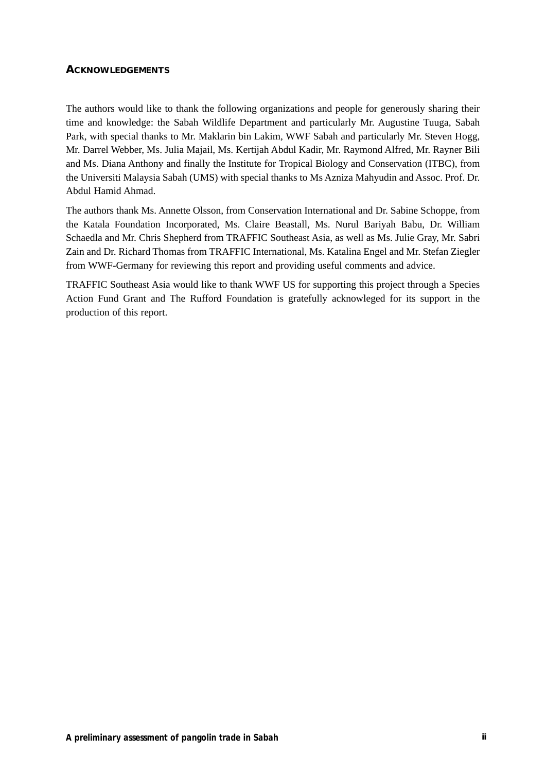#### **ACKNOWLEDGEMENTS**

The authors would like to thank the following organizations and people for generously sharing their time and knowledge: the Sabah Wildlife Department and particularly Mr. Augustine Tuuga, Sabah Park, with special thanks to Mr. Maklarin bin Lakim, WWF Sabah and particularly Mr. Steven Hogg, Mr. Darrel Webber, Ms. Julia Majail, Ms. Kertijah Abdul Kadir, Mr. Raymond Alfred, Mr. Rayner Bili and Ms. Diana Anthony and finally the Institute for Tropical Biology and Conservation (ITBC), from the Universiti Malaysia Sabah (UMS) with special thanks to Ms Azniza Mahyudin and Assoc. Prof. Dr. Abdul Hamid Ahmad.

The authors thank Ms. Annette Olsson, from Conservation International and Dr. Sabine Schoppe, from the Katala Foundation Incorporated, Ms. Claire Beastall, Ms. Nurul Bariyah Babu, Dr. William Schaedla and Mr. Chris Shepherd from TRAFFIC Southeast Asia, as well as Ms. Julie Gray, Mr. Sabri Zain and Dr. Richard Thomas from TRAFFIC International, Ms. Katalina Engel and Mr. Stefan Ziegler from WWF-Germany for reviewing this report and providing useful comments and advice.

TRAFFIC Southeast Asia would like to thank WWF US for supporting this project through a Species Action Fund Grant and The Rufford Foundation is gratefully acknowleged for its support in the production of this report.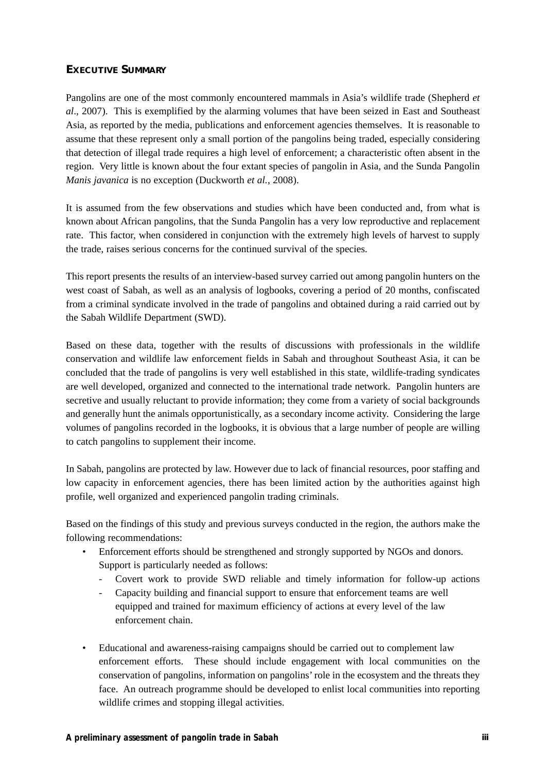## **EXECUTIVE SUMMARY**

Pangolins are one of the most commonly encountered mammals in Asia's wildlife trade (Shepherd *et al*., 2007). This is exemplified by the alarming volumes that have been seized in East and Southeast Asia, as reported by the media, publications and enforcement agencies themselves. It is reasonable to assume that these represent only a small portion of the pangolins being traded, especially considering that detection of illegal trade requires a high level of enforcement; a characteristic often absent in the region. Very little is known about the four extant species of pangolin in Asia, and the Sunda Pangolin *Manis javanica* is no exception (Duckworth *et al.*, 2008).

It is assumed from the few observations and studies which have been conducted and, from what is known about African pangolins, that the Sunda Pangolin has a very low reproductive and replacement rate. This factor, when considered in conjunction with the extremely high levels of harvest to supply the trade, raises serious concerns for the continued survival of the species.

This report presents the results of an interview-based survey carried out among pangolin hunters on the west coast of Sabah, as well as an analysis of logbooks, covering a period of 20 months, confiscated from a criminal syndicate involved in the trade of pangolins and obtained during a raid carried out by the Sabah Wildlife Department (SWD).

Based on these data, together with the results of discussions with professionals in the wildlife conservation and wildlife law enforcement fields in Sabah and throughout Southeast Asia, it can be concluded that the trade of pangolins is very well established in this state, wildlife-trading syndicates are well developed, organized and connected to the international trade network. Pangolin hunters are secretive and usually reluctant to provide information; they come from a variety of social backgrounds and generally hunt the animals opportunistically, as a secondary income activity. Considering the large volumes of pangolins recorded in the logbooks, it is obvious that a large number of people are willing to catch pangolins to supplement their income.

In Sabah, pangolins are protected by law. However due to lack of financial resources, poor staffing and low capacity in enforcement agencies, there has been limited action by the authorities against high profile, well organized and experienced pangolin trading criminals.

Based on the findings of this study and previous surveys conducted in the region, the authors make the following recommendations:

- Enforcement efforts should be strengthened and strongly supported by NGOs and donors. Support is particularly needed as follows:
	- Covert work to provide SWD reliable and timely information for follow-up actions
	- Capacity building and financial support to ensure that enforcement teams are well equipped and trained for maximum efficiency of actions at every level of the law enforcement chain.
- Educational and awareness-raising campaigns should be carried out to complement law enforcement efforts. These should include engagement with local communities on the conservation of pangolins, information on pangolins' role in the ecosystem and the threats they face. An outreach programme should be developed to enlist local communities into reporting wildlife crimes and stopping illegal activities.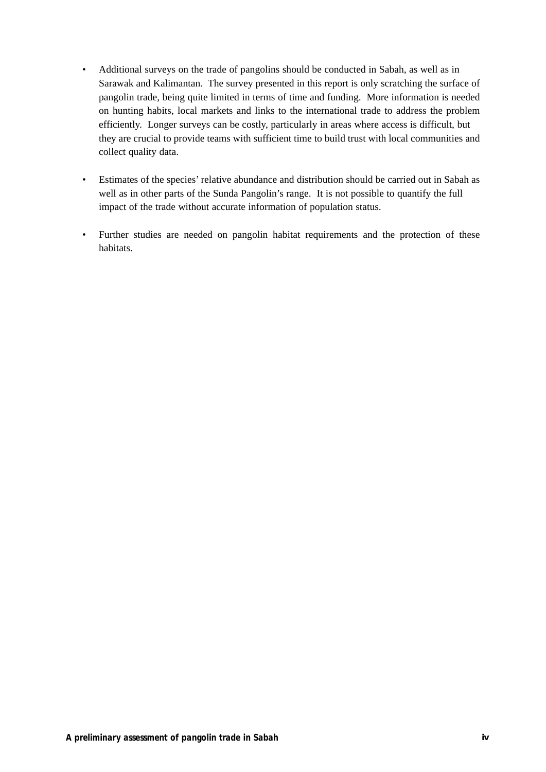- Additional surveys on the trade of pangolins should be conducted in Sabah, as well as in Sarawak and Kalimantan. The survey presented in this report is only scratching the surface of pangolin trade, being quite limited in terms of time and funding. More information is needed on hunting habits, local markets and links to the international trade to address the problem efficiently. Longer surveys can be costly, particularly in areas where access is difficult, but they are crucial to provide teams with sufficient time to build trust with local communities and collect quality data.
- Estimates of the species' relative abundance and distribution should be carried out in Sabah as well as in other parts of the Sunda Pangolin's range. It is not possible to quantify the full impact of the trade without accurate information of population status.
- Further studies are needed on pangolin habitat requirements and the protection of these habitats.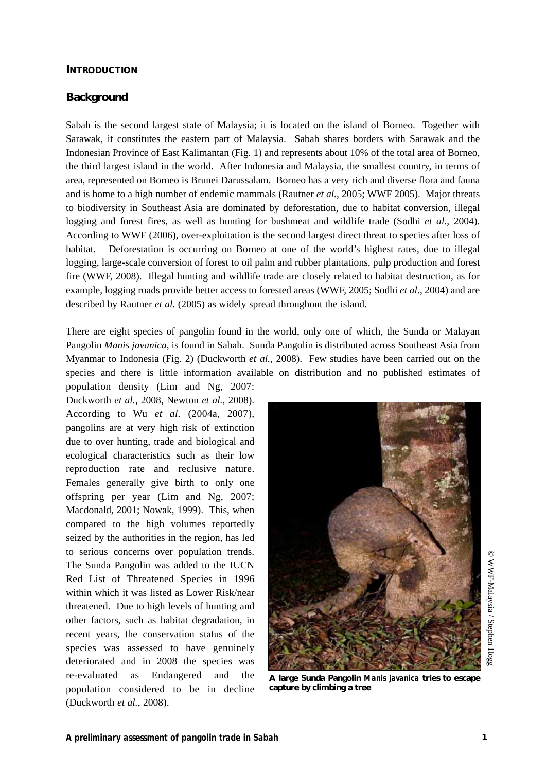#### **INTRODUCTION**

#### **Background**

Sabah is the second largest state of Malaysia; it is located on the island of Borneo. Together with Sarawak, it constitutes the eastern part of Malaysia. Sabah shares borders with Sarawak and the Indonesian Province of East Kalimantan (Fig. 1) and represents about 10% of the total area of Borneo, the third largest island in the world. After Indonesia and Malaysia, the smallest country, in terms of area, represented on Borneo is Brunei Darussalam. Borneo has a very rich and diverse flora and fauna and is home to a high number of endemic mammals (Rautner *et al.*, 2005; WWF 2005). Major threats to biodiversity in Southeast Asia are dominated by deforestation, due to habitat conversion, illegal logging and forest fires, as well as hunting for bushmeat and wildlife trade (Sodhi *et al*., 2004). According to WWF (2006), over-exploitation is the second largest direct threat to species after loss of habitat. Deforestation is occurring on Borneo at one of the world's highest rates, due to illegal logging, large-scale conversion of forest to oil palm and rubber plantations, pulp production and forest fire (WWF, 2008). Illegal hunting and wildlife trade are closely related to habitat destruction, as for example, logging roads provide better access to forested areas (WWF, 2005; Sodhi *et al*., 2004) and are described by Rautner *et al.* (2005) as widely spread throughout the island.

There are eight species of pangolin found in the world, only one of which, the Sunda or Malayan Pangolin *Manis javanica*, is found in Sabah. Sunda Pangolin is distributed across Southeast Asia from Myanmar to Indonesia (Fig. 2) (Duckworth *et al.*, 2008). Few studies have been carried out on the species and there is little information available on distribution and no published estimates of

population density (Lim and Ng, 2007: Duckworth *et al.*, 2008, Newton *et al.*, 2008). According to Wu *et al.* (2004a, 2007), pangolins are at very high risk of extinction due to over hunting, trade and biological and ecological characteristics such as their low reproduction rate and reclusive nature. Females generally give birth to only one offspring per year (Lim and Ng, 2007; Macdonald, 2001; Nowak, 1999). This, when compared to the high volumes reportedly seized by the authorities in the region, has led to serious concerns over population trends. The Sunda Pangolin was added to the IUCN Red List of Threatened Species in 1996 within which it was listed as Lower Risk/near threatened. Due to high levels of hunting and other factors, such as habitat degradation, in recent years, the conservation status of the species was assessed to have genuinely deteriorated and in 2008 the species was re-evaluated as Endangered and the population considered to be in decline (Duckworth *et al.*, 2008).



**A large Sunda Pangolin** *Manis javanica* **tries to escape capture by climbing a tree** 

© WWF-Malaysia / Stephen Hogg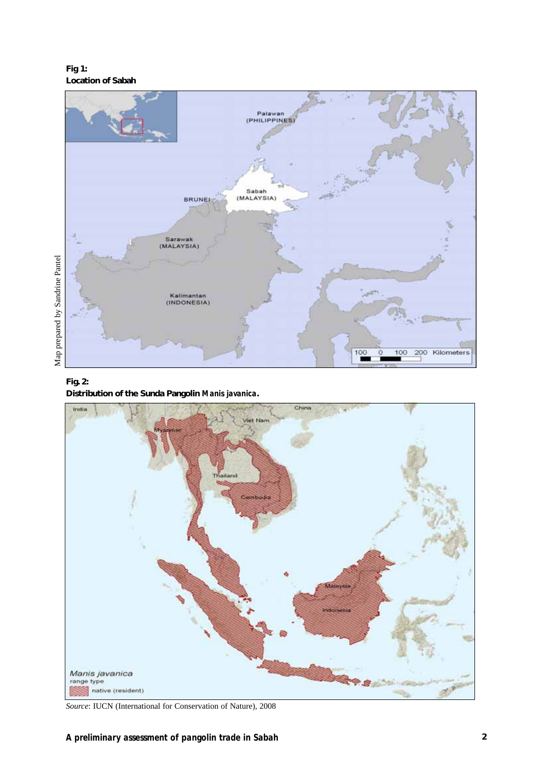**Fig 1: Location of Sabah**



## **Fig. 2: Distribution of the Sunda Pangolin** *Manis javanica***.**



*Source*: IUCN (International for Conservation of Nature), 2008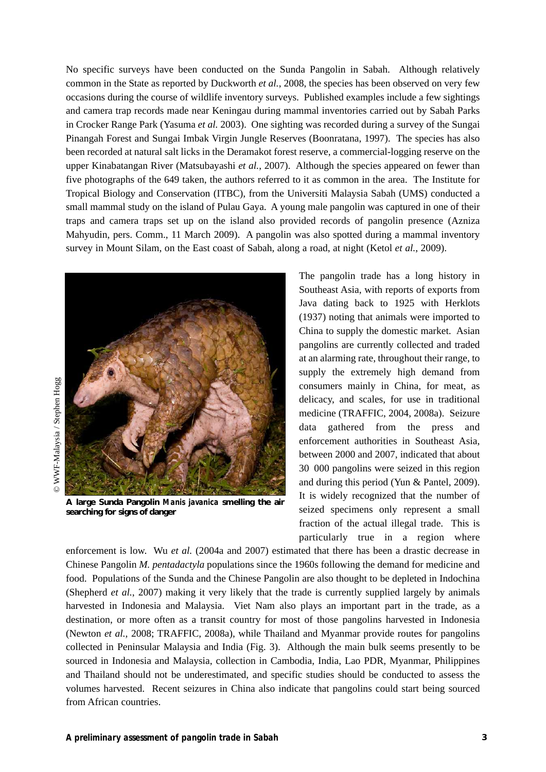No specific surveys have been conducted on the Sunda Pangolin in Sabah. Although relatively common in the State as reported by Duckworth *et al.*, 2008, the species has been observed on very few occasions during the course of wildlife inventory surveys. Published examples include a few sightings and camera trap records made near Keningau during mammal inventories carried out by Sabah Parks in Crocker Range Park (Yasuma *et al.* 2003). One sighting was recorded during a survey of the Sungai Pinangah Forest and Sungai Imbak Virgin Jungle Reserves (Boonratana, 1997). The species has also been recorded at natural salt licks in the Deramakot forest reserve, a commercial-logging reserve on the upper Kinabatangan River (Matsubayashi *et al.*, 2007). Although the species appeared on fewer than five photographs of the 649 taken, the authors referred to it as common in the area. The Institute for Tropical Biology and Conservation (ITBC), from the Universiti Malaysia Sabah (UMS) conducted a small mammal study on the island of Pulau Gaya. A young male pangolin was captured in one of their traps and camera traps set up on the island also provided records of pangolin presence (Azniza Mahyudin, pers. Comm., 11 March 2009). A pangolin was also spotted during a mammal inventory survey in Mount Silam, on the East coast of Sabah, along a road, at night (Ketol *et al.*, 2009).



**A large Sunda Pangolin** *Manis javanica* **smelling the air searching for signs of danger**

The pangolin trade has a long history in Southeast Asia, with reports of exports from Java dating back to 1925 with Herklots (1937) noting that animals were imported to China to supply the domestic market. Asian pangolins are currently collected and traded at an alarming rate, throughout their range, to supply the extremely high demand from consumers mainly in China, for meat, as delicacy, and scales, for use in traditional medicine (TRAFFIC, 2004, 2008a). Seizure data gathered from the press and enforcement authorities in Southeast Asia, between 2000 and 2007, indicated that about 30 000 pangolins were seized in this region and during this period (Yun & Pantel, 2009). It is widely recognized that the number of seized specimens only represent a small fraction of the actual illegal trade. This is particularly true in a region where

enforcement is low. Wu *et al.* (2004a and 2007) estimated that there has been a drastic decrease in Chinese Pangolin *M. pentadactyla* populations since the 1960s following the demand for medicine and food. Populations of the Sunda and the Chinese Pangolin are also thought to be depleted in Indochina (Shepherd *et al.*, 2007) making it very likely that the trade is currently supplied largely by animals harvested in Indonesia and Malaysia. Viet Nam also plays an important part in the trade, as a destination, or more often as a transit country for most of those pangolins harvested in Indonesia (Newton *et al.,* 2008; TRAFFIC, 2008a), while Thailand and Myanmar provide routes for pangolins collected in Peninsular Malaysia and India (Fig. 3). Although the main bulk seems presently to be sourced in Indonesia and Malaysia, collection in Cambodia, India, Lao PDR, Myanmar, Philippines and Thailand should not be underestimated, and specific studies should be conducted to assess the volumes harvested. Recent seizures in China also indicate that pangolins could start being sourced from African countries.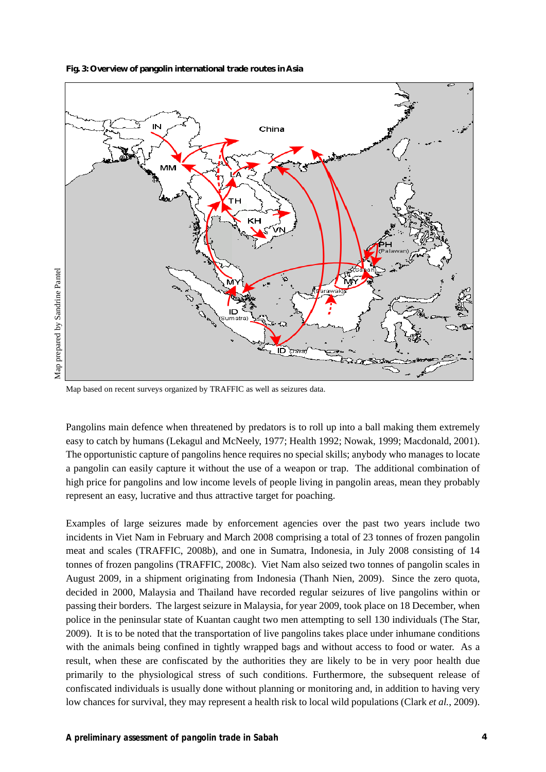



Map based on recent surveys organized by TRAFFIC as well as seizures data.

Pangolins main defence when threatened by predators is to roll up into a ball making them extremely easy to catch by humans (Lekagul and McNeely, 1977; Health 1992; Nowak, 1999; Macdonald, 2001). The opportunistic capture of pangolins hence requires no special skills; anybody who manages to locate a pangolin can easily capture it without the use of a weapon or trap. The additional combination of high price for pangolins and low income levels of people living in pangolin areas, mean they probably represent an easy, lucrative and thus attractive target for poaching.

Examples of large seizures made by enforcement agencies over the past two years include two incidents in Viet Nam in February and March 2008 comprising a total of 23 tonnes of frozen pangolin meat and scales (TRAFFIC, 2008b), and one in Sumatra, Indonesia, in July 2008 consisting of 14 tonnes of frozen pangolins (TRAFFIC, 2008c). Viet Nam also seized two tonnes of pangolin scales in August 2009, in a shipment originating from Indonesia (Thanh Nien, 2009). Since the zero quota, decided in 2000, Malaysia and Thailand have recorded regular seizures of live pangolins within or passing their borders. The largest seizure in Malaysia, for year 2009, took place on 18 December, when police in the peninsular state of Kuantan caught two men attempting to sell 130 individuals (The Star, 2009). It is to be noted that the transportation of live pangolins takes place under inhumane conditions with the animals being confined in tightly wrapped bags and without access to food or water. As a result, when these are confiscated by the authorities they are likely to be in very poor health due primarily to the physiological stress of such conditions. Furthermore, the subsequent release of confiscated individuals is usually done without planning or monitoring and, in addition to having very low chances for survival, they may represent a health risk to local wild populations (Clark *et al.*, 2009).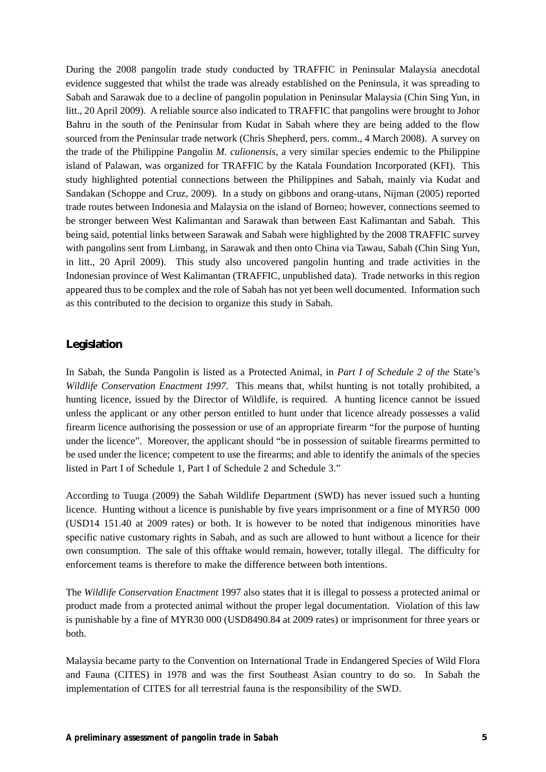During the 2008 pangolin trade study conducted by TRAFFIC in Peninsular Malaysia anecdotal evidence suggested that whilst the trade was already established on the Peninsula, it was spreading to Sabah and Sarawak due to a decline of pangolin population in Peninsular Malaysia (Chin Sing Yun, in litt., 20 April 2009). A reliable source also indicated to TRAFFIC that pangolins were brought to Johor Bahru in the south of the Peninsular from Kudat in Sabah where they are being added to the flow sourced from the Peninsular trade network (Chris Shepherd, pers. comm., 4 March 2008). A survey on the trade of the Philippine Pangolin *M. culionensis*, a very similar species endemic to the Philippine island of Palawan, was organized for TRAFFIC by the Katala Foundation Incorporated (KFI). This study highlighted potential connections between the Philippines and Sabah, mainly via Kudat and Sandakan (Schoppe and Cruz, 2009). In a study on gibbons and orang-utans, Nijman (2005) reported trade routes between Indonesia and Malaysia on the island of Borneo; however, connections seemed to be stronger between West Kalimantan and Sarawak than between East Kalimantan and Sabah. This being said, potential links between Sarawak and Sabah were highlighted by the 2008 TRAFFIC survey with pangolins sent from Limbang, in Sarawak and then onto China via Tawau, Sabah (Chin Sing Yun, in litt., 20 April 2009). This study also uncovered pangolin hunting and trade activities in the Indonesian province of West Kalimantan (TRAFFIC, unpublished data). Trade networks in this region appeared thus to be complex and the role of Sabah has not yet been well documented. Information such as this contributed to the decision to organize this study in Sabah.

#### **Legislation**

In Sabah, the Sunda Pangolin is listed as a Protected Animal, in *Part I of Schedule 2 of the* State's *Wildlife Conservation Enactment 1997*. This means that, whilst hunting is not totally prohibited, a hunting licence, issued by the Director of Wildlife, is required. A hunting licence cannot be issued unless the applicant or any other person entitled to hunt under that licence already possesses a valid firearm licence authorising the possession or use of an appropriate firearm "for the purpose of hunting under the licence". Moreover, the applicant should "be in possession of suitable firearms permitted to be used under the licence; competent to use the firearms; and able to identify the animals of the species listed in Part I of Schedule 1, Part I of Schedule 2 and Schedule 3."

According to Tuuga (2009) the Sabah Wildlife Department (SWD) has never issued such a hunting licence. Hunting without a licence is punishable by five years imprisonment or a fine of MYR50 000 (USD14 151.40 at 2009 rates) or both. It is however to be noted that indigenous minorities have specific native customary rights in Sabah, and as such are allowed to hunt without a licence for their own consumption. The sale of this offtake would remain, however, totally illegal. The difficulty for enforcement teams is therefore to make the difference between both intentions.

The *Wildlife Conservation Enactment* 1997 also states that it is illegal to possess a protected animal or product made from a protected animal without the proper legal documentation. Violation of this law is punishable by a fine of MYR30 000 (USD8490.84 at 2009 rates) or imprisonment for three years or both.

Malaysia became party to the Convention on International Trade in Endangered Species of Wild Flora and Fauna (CITES) in 1978 and was the first Southeast Asian country to do so. In Sabah the implementation of CITES for all terrestrial fauna is the responsibility of the SWD.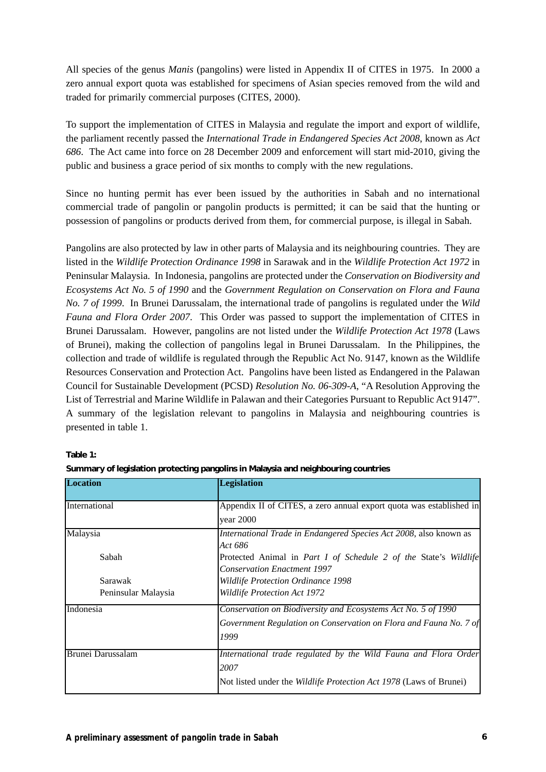All species of the genus *Manis* (pangolins) were listed in Appendix II of CITES in 1975. In 2000 a zero annual export quota was established for specimens of Asian species removed from the wild and traded for primarily commercial purposes (CITES, 2000).

To support the implementation of CITES in Malaysia and regulate the import and export of wildlife, the parliament recently passed the *International Trade in Endangered Species Act 2008*, known as *Act 686*. The Act came into force on 28 December 2009 and enforcement will start mid-2010, giving the public and business a grace period of six months to comply with the new regulations.

Since no hunting permit has ever been issued by the authorities in Sabah and no international commercial trade of pangolin or pangolin products is permitted; it can be said that the hunting or possession of pangolins or products derived from them, for commercial purpose, is illegal in Sabah.

Pangolins are also protected by law in other parts of Malaysia and its neighbouring countries. They are listed in the *Wildlife Protection Ordinance 1998* in Sarawak and in the *Wildlife Protection Act 1972* in Peninsular Malaysia. In Indonesia, pangolins are protected under the *Conservation on Biodiversity and Ecosystems Act No. 5 of 1990* and the *Government Regulation on Conservation on Flora and Fauna No. 7 of 1999*. In Brunei Darussalam, the international trade of pangolins is regulated under the *Wild Fauna and Flora Order 2007*. This Order was passed to support the implementation of CITES in Brunei Darussalam. However, pangolins are not listed under the *Wildlife Protection Act 1978* (Laws of Brunei), making the collection of pangolins legal in Brunei Darussalam. In the Philippines, the collection and trade of wildlife is regulated through the Republic Act No. 9147, known as the Wildlife Resources Conservation and Protection Act. Pangolins have been listed as Endangered in the Palawan Council for Sustainable Development (PCSD) *Resolution No. 06-309-A*, "A Resolution Approving the List of Terrestrial and Marine Wildlife in Palawan and their Categories Pursuant to Republic Act 9147". A summary of the legislation relevant to pangolins in Malaysia and neighbouring countries is presented in table 1.

| Location            | <b>Legislation</b>                                                                                            |
|---------------------|---------------------------------------------------------------------------------------------------------------|
| International       | Appendix II of CITES, a zero annual export quota was established in                                           |
|                     | year 2000                                                                                                     |
| Malaysia            | International Trade in Endangered Species Act 2008, also known as<br>Act 686                                  |
| Sabah               | Protected Animal in <i>Part I of Schedule 2 of the State's Wildlife</i><br><b>Conservation Enactment 1997</b> |
| Sarawak             | Wildlife Protection Ordinance 1998                                                                            |
| Peninsular Malaysia | <b>Wildlife Protection Act 1972</b>                                                                           |
| Indonesia           | Conservation on Biodiversity and Ecosystems Act No. 5 of 1990                                                 |
|                     | Government Regulation on Conservation on Flora and Fauna No. 7 of                                             |
|                     | 1999                                                                                                          |
| Brunei Darussalam   | International trade regulated by the Wild Fauna and Flora Order                                               |
|                     | 2007                                                                                                          |
|                     | Not listed under the <i>Wildlife Protection Act 1978</i> (Laws of Brunei)                                     |

**Table 1:**

| Summary of legislation protecting pangolins in Malaysia and neighbouring countries |  |
|------------------------------------------------------------------------------------|--|
|                                                                                    |  |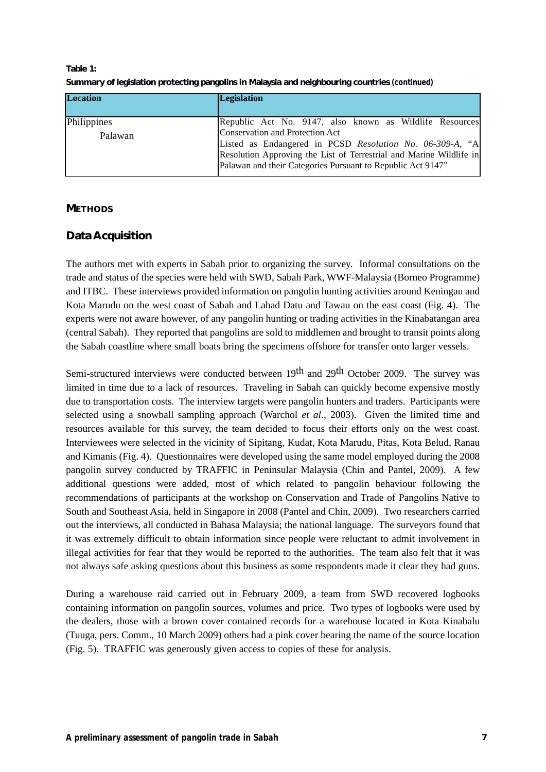| <b>Location</b>                            | <b>Legislation</b>                                                  |  |
|--------------------------------------------|---------------------------------------------------------------------|--|
| Philippines                                | Republic Act No. 9147, also known as Wildlife Resources             |  |
| Conservation and Protection Act<br>Palawan |                                                                     |  |
|                                            | Listed as Endangered in PCSD Resolution No. 06-309-A, "A            |  |
|                                            | Resolution Approving the List of Terrestrial and Marine Wildlife in |  |
|                                            | Palawan and their Categories Pursuant to Republic Act 9147"         |  |

**Table 1: Summary of legislation protecting pangolins in Malaysia and neighbouring countries** *(continued)*

#### **METHODS**

## **Data Acquisition**

The authors met with experts in Sabah prior to organizing the survey. Informal consultations on the trade and status of the species were held with SWD, Sabah Park, WWF-Malaysia (Borneo Programme) and ITBC. These interviews provided information on pangolin hunting activities around Keningau and Kota Marudu on the west coast of Sabah and Lahad Datu and Tawau on the east coast (Fig. 4). The experts were not aware however, of any pangolin hunting or trading activities in the Kinabatangan area (central Sabah). They reported that pangolins are sold to middlemen and brought to transit points along the Sabah coastline where small boats bring the specimens offshore for transfer onto larger vessels.

Semi-structured interviews were conducted between 19<sup>th</sup> and 29<sup>th</sup> October 2009. The survey was limited in time due to a lack of resources. Traveling in Sabah can quickly become expensive mostly due to transportation costs. The interview targets were pangolin hunters and traders. Participants were selected using a snowball sampling approach (Warchol *et al.*, 2003). Given the limited time and resources available for this survey, the team decided to focus their efforts only on the west coast. Interviewees were selected in the vicinity of Sipitang, Kudat, Kota Marudu, Pitas, Kota Belud, Ranau and Kimanis (Fig. 4). Questionnaires were developed using the same model employed during the 2008 pangolin survey conducted by TRAFFIC in Peninsular Malaysia (Chin and Pantel, 2009). A few additional questions were added, most of which related to pangolin behaviour following the recommendations of participants at the workshop on Conservation and Trade of Pangolins Native to South and Southeast Asia, held in Singapore in 2008 (Pantel and Chin, 2009). Two researchers carried out the interviews, all conducted in Bahasa Malaysia; the national language. The surveyors found that it was extremely difficult to obtain information since people were reluctant to admit involvement in illegal activities for fear that they would be reported to the authorities. The team also felt that it was not always safe asking questions about this business as some respondents made it clear they had guns.

During a warehouse raid carried out in February 2009, a team from SWD recovered logbooks containing information on pangolin sources, volumes and price. Two types of logbooks were used by the dealers, those with a brown cover contained records for a warehouse located in Kota Kinabalu (Tuuga, pers. Comm., 10 March 2009) others had a pink cover bearing the name of the source location (Fig. 5). TRAFFIC was generously given access to copies of these for analysis.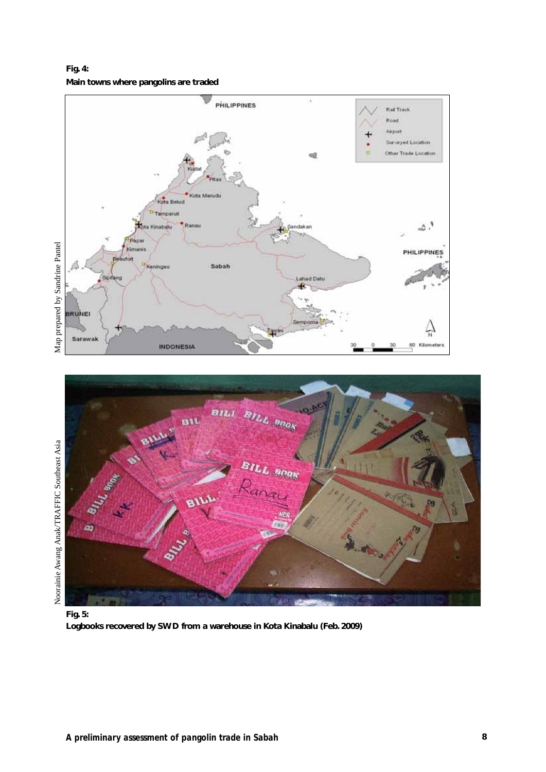**Fig. 4: Main towns where pangolins are traded** 





**Fig. 5: Logbooks recovered by SWD from a warehouse in Kota Kinabalu (Feb. 2009)**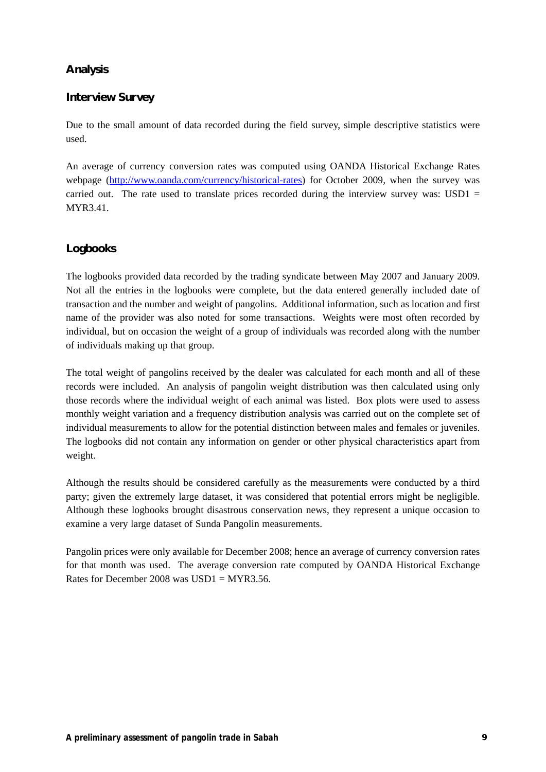## **Analysis**

## **Interview Survey**

Due to the small amount of data recorded during the field survey, simple descriptive statistics were used.

An average of currency conversion rates was computed using OANDA Historical Exchange Rates webpage (http://www.oanda.com/currency/historical-rates) for October 2009, when the survey was carried out. The rate used to translate prices recorded during the interview survey was:  $\text{USD1} =$ MYR3.41.

## **Logbooks**

The logbooks provided data recorded by the trading syndicate between May 2007 and January 2009. Not all the entries in the logbooks were complete, but the data entered generally included date of transaction and the number and weight of pangolins. Additional information, such as location and first name of the provider was also noted for some transactions. Weights were most often recorded by individual, but on occasion the weight of a group of individuals was recorded along with the number of individuals making up that group.

The total weight of pangolins received by the dealer was calculated for each month and all of these records were included. An analysis of pangolin weight distribution was then calculated using only those records where the individual weight of each animal was listed. Box plots were used to assess monthly weight variation and a frequency distribution analysis was carried out on the complete set of individual measurements to allow for the potential distinction between males and females or juveniles. The logbooks did not contain any information on gender or other physical characteristics apart from weight.

Although the results should be considered carefully as the measurements were conducted by a third party; given the extremely large dataset, it was considered that potential errors might be negligible. Although these logbooks brought disastrous conservation news, they represent a unique occasion to examine a very large dataset of Sunda Pangolin measurements.

Pangolin prices were only available for December 2008; hence an average of currency conversion rates for that month was used. The average conversion rate computed by OANDA Historical Exchange Rates for December 2008 was  $USD1 = MYR3.56$ .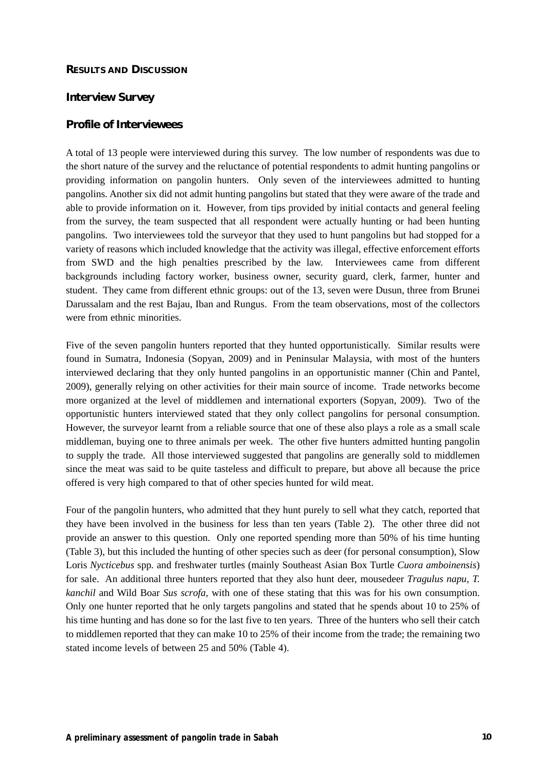#### **RESULTS AND DISCUSSION**

#### **Interview Survey**

#### **Profile of Interviewees**

A total of 13 people were interviewed during this survey. The low number of respondents was due to the short nature of the survey and the reluctance of potential respondents to admit hunting pangolins or providing information on pangolin hunters. Only seven of the interviewees admitted to hunting pangolins. Another six did not admit hunting pangolins but stated that they were aware of the trade and able to provide information on it. However, from tips provided by initial contacts and general feeling from the survey, the team suspected that all respondent were actually hunting or had been hunting pangolins. Two interviewees told the surveyor that they used to hunt pangolins but had stopped for a variety of reasons which included knowledge that the activity was illegal, effective enforcement efforts from SWD and the high penalties prescribed by the law. Interviewees came from different backgrounds including factory worker, business owner, security guard, clerk, farmer, hunter and student. They came from different ethnic groups: out of the 13, seven were Dusun, three from Brunei Darussalam and the rest Bajau, Iban and Rungus. From the team observations, most of the collectors were from ethnic minorities.

Five of the seven pangolin hunters reported that they hunted opportunistically. Similar results were found in Sumatra, Indonesia (Sopyan, 2009) and in Peninsular Malaysia, with most of the hunters interviewed declaring that they only hunted pangolins in an opportunistic manner (Chin and Pantel, 2009), generally relying on other activities for their main source of income. Trade networks become more organized at the level of middlemen and international exporters (Sopyan, 2009). Two of the opportunistic hunters interviewed stated that they only collect pangolins for personal consumption. However, the surveyor learnt from a reliable source that one of these also plays a role as a small scale middleman, buying one to three animals per week. The other five hunters admitted hunting pangolin to supply the trade. All those interviewed suggested that pangolins are generally sold to middlemen since the meat was said to be quite tasteless and difficult to prepare, but above all because the price offered is very high compared to that of other species hunted for wild meat.

Four of the pangolin hunters, who admitted that they hunt purely to sell what they catch, reported that they have been involved in the business for less than ten years (Table 2). The other three did not provide an answer to this question. Only one reported spending more than 50% of his time hunting (Table 3), but this included the hunting of other species such as deer (for personal consumption), Slow Loris *Nycticebus* spp*.* and freshwater turtles (mainly Southeast Asian Box Turtle *Cuora amboinensis*) for sale. An additional three hunters reported that they also hunt deer, mousedeer *Tragulus napu*, *T. kanchil* and Wild Boar *Sus scrofa,* with one of these stating that this was for his own consumption. Only one hunter reported that he only targets pangolins and stated that he spends about 10 to 25% of his time hunting and has done so for the last five to ten years. Three of the hunters who sell their catch to middlemen reported that they can make 10 to 25% of their income from the trade; the remaining two stated income levels of between 25 and 50% (Table 4).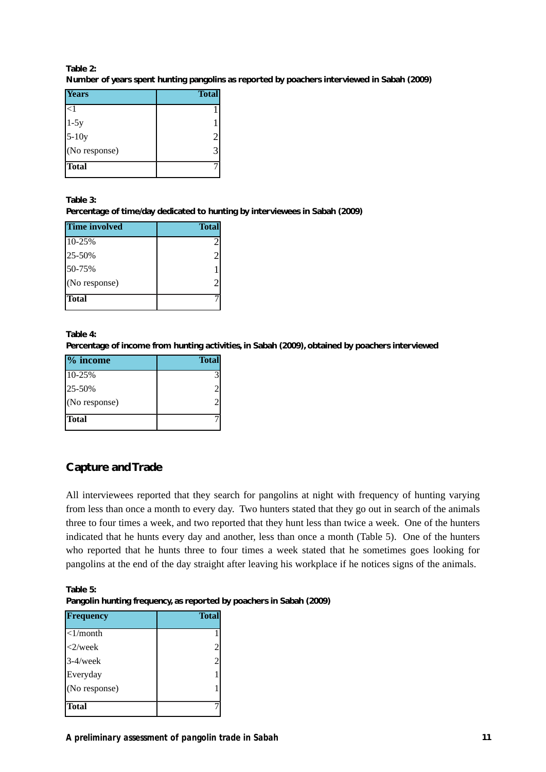#### **Table 2: Number of years spent hunting pangolins as reported by poachers interviewed in Sabah (2009)**

| Years           | <b>Total</b> |
|-----------------|--------------|
| <1              |              |
| $1-5y$<br>5-10y |              |
|                 |              |
| $(No$ response) |              |
| Total           |              |

**Table 3:**

**Percentage of time/day dedicated to hunting by interviewees in Sabah (2009)**

| <b>Time involved</b> | <b>Total</b>   |
|----------------------|----------------|
| 10-25%               | 2              |
| 25-50%               | 2              |
| 50-75%               |                |
| (No response)        | $\overline{c}$ |
| <b>Total</b>         |                |

#### **Table 4:**

**Percentage of income from hunting activities, in Sabah (2009), obtained by poachers interviewed**

| $\frac{1}{2}$ income | <b>Total</b> |
|----------------------|--------------|
| 10-25%               |              |
| 25-50%               |              |
| (No response)        |              |
| <b>Total</b>         |              |

## **Capture and Trade**

All interviewees reported that they search for pangolins at night with frequency of hunting varying from less than once a month to every day. Two hunters stated that they go out in search of the animals three to four times a week, and two reported that they hunt less than twice a week. One of the hunters indicated that he hunts every day and another, less than once a month (Table 5). One of the hunters who reported that he hunts three to four times a week stated that he sometimes goes looking for pangolins at the end of the day straight after leaving his workplace if he notices signs of the animals.

**Table 5: Pangolin hunting frequency, as reported by poachers in Sabah (2009)**

| Frequency      | <b>Total</b> |
|----------------|--------------|
| $\leq$ 1/month |              |
| $<$ 2/week     | 2            |
| $3-4$ /week    |              |
| Everyday       |              |
| (No response)  |              |
| <b>Total</b>   |              |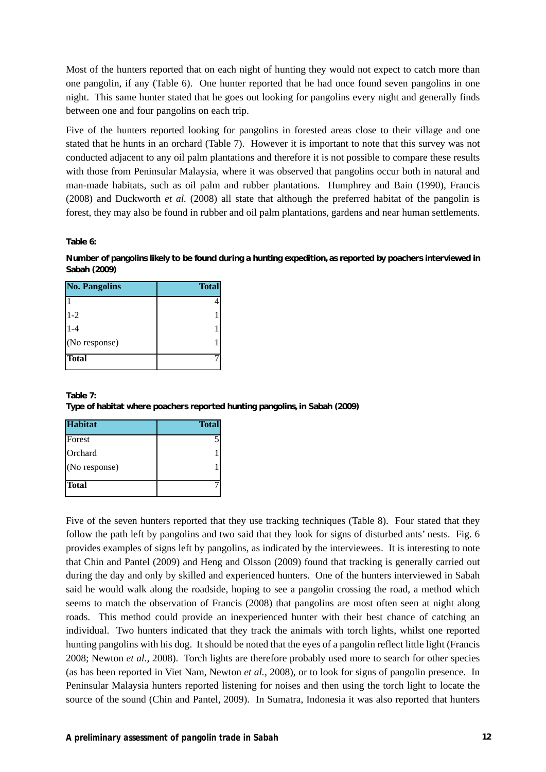Most of the hunters reported that on each night of hunting they would not expect to catch more than one pangolin, if any (Table 6). One hunter reported that he had once found seven pangolins in one night. This same hunter stated that he goes out looking for pangolins every night and generally finds between one and four pangolins on each trip.

Five of the hunters reported looking for pangolins in forested areas close to their village and one stated that he hunts in an orchard (Table 7). However it is important to note that this survey was not conducted adjacent to any oil palm plantations and therefore it is not possible to compare these results with those from Peninsular Malaysia, where it was observed that pangolins occur both in natural and man-made habitats, such as oil palm and rubber plantations. Humphrey and Bain (1990), Francis (2008) and Duckworth *et al.* (2008) all state that although the preferred habitat of the pangolin is forest, they may also be found in rubber and oil palm plantations, gardens and near human settlements.

**Table 6:**

**Number of pangolins likely to be found during a hunting expedition, as reported by poachers interviewed in Sabah (2009)**

| <b>No. Pangolins</b> | <b>Total</b> |
|----------------------|--------------|
|                      |              |
| $1-2$                |              |
| $-4$                 |              |
| (No response)        |              |
| <b>Total</b>         |              |

#### **Table 7: Type of habitat where poachers reported hunting pangolins, in Sabah (2009)**

| <b>Habitat</b> | <b>Total</b> |
|----------------|--------------|
| Forest         |              |
| Orchard        |              |
| (No response)  |              |
| Total          |              |

Five of the seven hunters reported that they use tracking techniques (Table 8). Four stated that they follow the path left by pangolins and two said that they look for signs of disturbed ants' nests. Fig. 6 provides examples of signs left by pangolins, as indicated by the interviewees. It is interesting to note that Chin and Pantel (2009) and Heng and Olsson (2009) found that tracking is generally carried out during the day and only by skilled and experienced hunters. One of the hunters interviewed in Sabah said he would walk along the roadside, hoping to see a pangolin crossing the road, a method which seems to match the observation of Francis (2008) that pangolins are most often seen at night along roads. This method could provide an inexperienced hunter with their best chance of catching an individual. Two hunters indicated that they track the animals with torch lights, whilst one reported hunting pangolins with his dog. It should be noted that the eyes of a pangolin reflect little light (Francis 2008; Newton *et al.,* 2008). Torch lights are therefore probably used more to search for other species (as has been reported in Viet Nam, Newton *et al.,* 2008), or to look for signs of pangolin presence. In Peninsular Malaysia hunters reported listening for noises and then using the torch light to locate the source of the sound (Chin and Pantel, 2009). In Sumatra, Indonesia it was also reported that hunters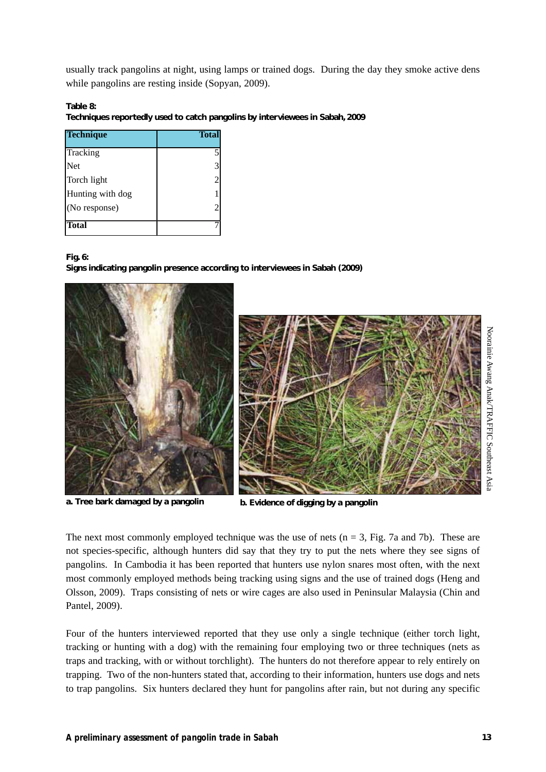usually track pangolins at night, using lamps or trained dogs. During the day they smoke active dens while pangolins are resting inside (Sopyan, 2009).

**Table 8:**

**Techniques reportedly used to catch pangolins by interviewees in Sabah, 2009**

| <b>Technique</b> | <b>Total</b>   |
|------------------|----------------|
| Tracking         | 5              |
| Net              | 3              |
| Torch light      | $\overline{2}$ |
| Hunting with dog |                |
| (No response)    |                |
| Total            |                |

#### **Fig. 6:**

**Signs indicating pangolin presence according to interviewees in Sabah (2009)**







The next most commonly employed technique was the use of nets ( $n = 3$ , Fig. 7a and 7b). These are not species-specific, although hunters did say that they try to put the nets where they see signs of pangolins. In Cambodia it has been reported that hunters use nylon snares most often, with the next most commonly employed methods being tracking using signs and the use of trained dogs (Heng and Olsson, 2009). Traps consisting of nets or wire cages are also used in Peninsular Malaysia (Chin and Pantel, 2009).

Four of the hunters interviewed reported that they use only a single technique (either torch light, tracking or hunting with a dog) with the remaining four employing two or three techniques (nets as traps and tracking, with or without torchlight). The hunters do not therefore appear to rely entirely on trapping. Two of the non-hunters stated that, according to their information, hunters use dogs and nets to trap pangolins. Six hunters declared they hunt for pangolins after rain, but not during any specific

Noorainie Awang Anak/TRAFFIC

Noorainie Awang Anak/TRAFFIC Southeast Asia

Southeast Asia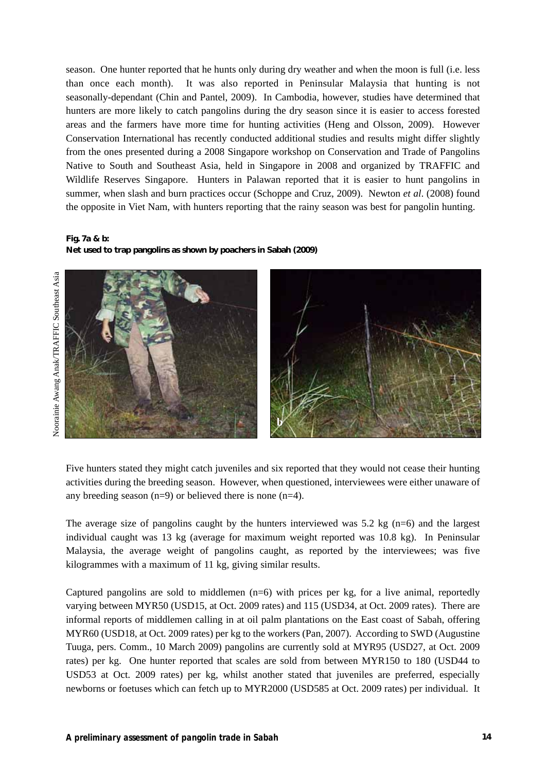season. One hunter reported that he hunts only during dry weather and when the moon is full (i.e. less than once each month). It was also reported in Peninsular Malaysia that hunting is not seasonally-dependant (Chin and Pantel, 2009). In Cambodia, however, studies have determined that hunters are more likely to catch pangolins during the dry season since it is easier to access forested areas and the farmers have more time for hunting activities (Heng and Olsson, 2009). However Conservation International has recently conducted additional studies and results might differ slightly from the ones presented during a 2008 Singapore workshop on Conservation and Trade of Pangolins Native to South and Southeast Asia, held in Singapore in 2008 and organized by TRAFFIC and Wildlife Reserves Singapore. Hunters in Palawan reported that it is easier to hunt pangolins in summer, when slash and burn practices occur (Schoppe and Cruz, 2009). Newton *et al*. (2008) found the opposite in Viet Nam, with hunters reporting that the rainy season was best for pangolin hunting.

#### **Fig. 7a & b:**

**Net used to trap pangolins as shown by poachers in Sabah (2009)**



Five hunters stated they might catch juveniles and six reported that they would not cease their hunting activities during the breeding season. However, when questioned, interviewees were either unaware of any breeding season  $(n=9)$  or believed there is none  $(n=4)$ .

The average size of pangolins caught by the hunters interviewed was  $5.2 \text{ kg } (n=6)$  and the largest individual caught was 13 kg (average for maximum weight reported was 10.8 kg). In Peninsular Malaysia, the average weight of pangolins caught, as reported by the interviewees; was five kilogrammes with a maximum of 11 kg, giving similar results.

Captured pangolins are sold to middlemen  $(n=6)$  with prices per kg, for a live animal, reportedly varying between MYR50 (USD15, at Oct. 2009 rates) and 115 (USD34, at Oct. 2009 rates). There are informal reports of middlemen calling in at oil palm plantations on the East coast of Sabah, offering MYR60 (USD18, at Oct. 2009 rates) per kg to the workers (Pan, 2007). According to SWD (Augustine Tuuga, pers. Comm., 10 March 2009) pangolins are currently sold at MYR95 (USD27, at Oct. 2009 rates) per kg. One hunter reported that scales are sold from between MYR150 to 180 (USD44 to USD53 at Oct. 2009 rates) per kg, whilst another stated that juveniles are preferred, especially newborns or foetuses which can fetch up to MYR2000 (USD585 at Oct. 2009 rates) per individual. It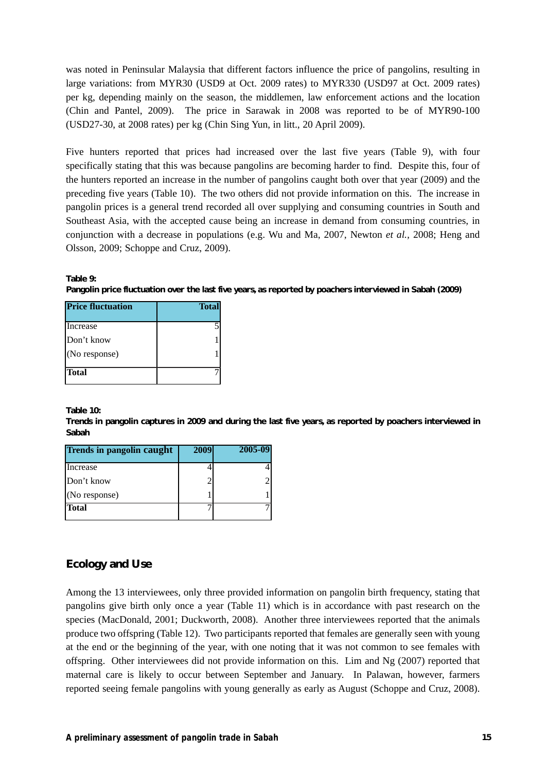was noted in Peninsular Malaysia that different factors influence the price of pangolins, resulting in large variations: from MYR30 (USD9 at Oct. 2009 rates) to MYR330 (USD97 at Oct. 2009 rates) per kg, depending mainly on the season, the middlemen, law enforcement actions and the location (Chin and Pantel, 2009). The price in Sarawak in 2008 was reported to be of MYR90-100 (USD27-30, at 2008 rates) per kg (Chin Sing Yun, in litt., 20 April 2009).

Five hunters reported that prices had increased over the last five years (Table 9), with four specifically stating that this was because pangolins are becoming harder to find. Despite this, four of the hunters reported an increase in the number of pangolins caught both over that year (2009) and the preceding five years (Table 10). The two others did not provide information on this. The increase in pangolin prices is a general trend recorded all over supplying and consuming countries in South and Southeast Asia, with the accepted cause being an increase in demand from consuming countries, in conjunction with a decrease in populations (e.g. Wu and Ma, 2007, Newton *et al.,* 2008; Heng and Olsson, 2009; Schoppe and Cruz, 2009).

**Table 9:**

**Pangolin price fluctuation over the last five years, as reported by poachers interviewed in Sabah (2009)**

| <b>Price fluctuation</b> | <b>Total</b> |
|--------------------------|--------------|
| Increase                 |              |
| Don't know               |              |
| (No response)            |              |
| <b>Total</b>             |              |

**Table 10:**

**Trends in pangolin captures in 2009 and during the last five years, as reported by poachers interviewed in Sabah**

| Trends in pangolin caught | 2009 | 2005-09 |
|---------------------------|------|---------|
| Increase                  |      |         |
| Don't know                |      |         |
| (No response)             |      |         |
| <b>Total</b>              |      |         |

## **Ecology and Use**

Among the 13 interviewees, only three provided information on pangolin birth frequency, stating that pangolins give birth only once a year (Table 11) which is in accordance with past research on the species (MacDonald, 2001; Duckworth, 2008). Another three interviewees reported that the animals produce two offspring (Table 12). Two participants reported that females are generally seen with young at the end or the beginning of the year, with one noting that it was not common to see females with offspring. Other interviewees did not provide information on this. Lim and Ng (2007) reported that maternal care is likely to occur between September and January. In Palawan, however, farmers reported seeing female pangolins with young generally as early as August (Schoppe and Cruz, 2008).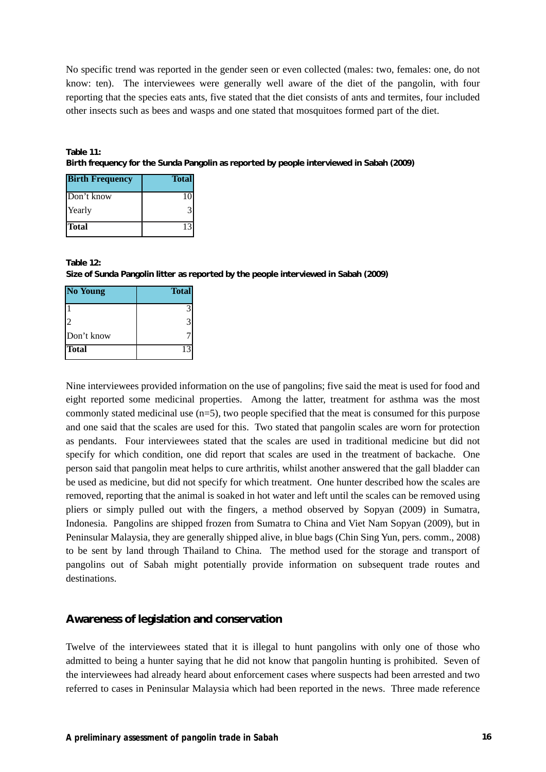No specific trend was reported in the gender seen or even collected (males: two, females: one, do not know: ten). The interviewees were generally well aware of the diet of the pangolin, with four reporting that the species eats ants, five stated that the diet consists of ants and termites, four included other insects such as bees and wasps and one stated that mosquitoes formed part of the diet.

**Table 11: Birth frequency for the Sunda Pangolin as reported by people interviewed in Sabah (2009)**

| <b>Birth Frequency</b> | <b>Total</b> |
|------------------------|--------------|
| Don't know             | 10           |
| Yearly                 |              |
| <b>Total</b>           |              |

#### **Table 12:**

**Size of Sunda Pangolin litter as reported by the people interviewed in Sabah (2009)**

| <b>No Young</b> | <b>Total</b> |
|-----------------|--------------|
|                 | 3            |
|                 | 3            |
| Don't know      |              |
| Total           | 13           |

Nine interviewees provided information on the use of pangolins; five said the meat is used for food and eight reported some medicinal properties. Among the latter, treatment for asthma was the most commonly stated medicinal use  $(n=5)$ , two people specified that the meat is consumed for this purpose and one said that the scales are used for this. Two stated that pangolin scales are worn for protection as pendants. Four interviewees stated that the scales are used in traditional medicine but did not specify for which condition, one did report that scales are used in the treatment of backache. One person said that pangolin meat helps to cure arthritis, whilst another answered that the gall bladder can be used as medicine, but did not specify for which treatment. One hunter described how the scales are removed, reporting that the animal is soaked in hot water and left until the scales can be removed using pliers or simply pulled out with the fingers, a method observed by Sopyan (2009) in Sumatra, Indonesia. Pangolins are shipped frozen from Sumatra to China and Viet Nam Sopyan (2009), but in Peninsular Malaysia, they are generally shipped alive, in blue bags (Chin Sing Yun, pers. comm., 2008) to be sent by land through Thailand to China. The method used for the storage and transport of pangolins out of Sabah might potentially provide information on subsequent trade routes and destinations.

#### **Awareness of legislation and conservation**

Twelve of the interviewees stated that it is illegal to hunt pangolins with only one of those who admitted to being a hunter saying that he did not know that pangolin hunting is prohibited. Seven of the interviewees had already heard about enforcement cases where suspects had been arrested and two referred to cases in Peninsular Malaysia which had been reported in the news. Three made reference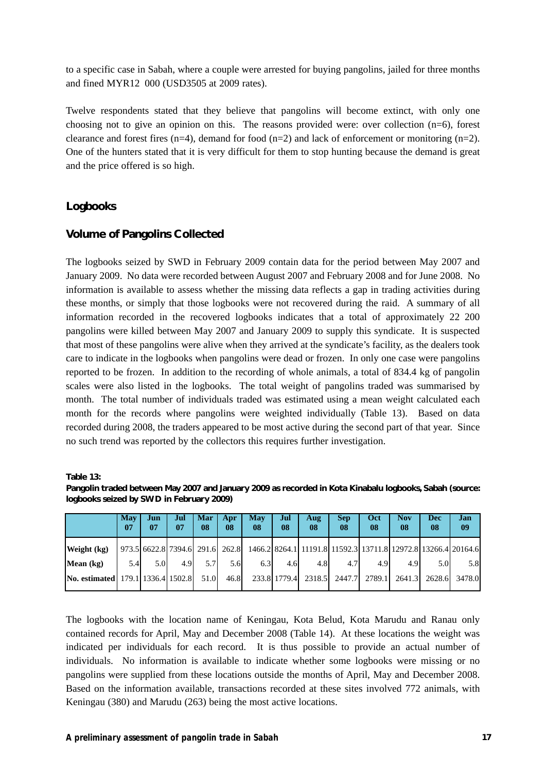to a specific case in Sabah, where a couple were arrested for buying pangolins, jailed for three months and fined MYR12 000 (USD3505 at 2009 rates).

Twelve respondents stated that they believe that pangolins will become extinct, with only one choosing not to give an opinion on this. The reasons provided were: over collection (n=6), forest clearance and forest fires (n=4), demand for food (n=2) and lack of enforcement or monitoring (n=2). One of the hunters stated that it is very difficult for them to stop hunting because the demand is great and the price offered is so high.

#### **Logbooks**

## **Volume of Pangolins Collected**

The logbooks seized by SWD in February 2009 contain data for the period between May 2007 and January 2009. No data were recorded between August 2007 and February 2008 and for June 2008. No information is available to assess whether the missing data reflects a gap in trading activities during these months, or simply that those logbooks were not recovered during the raid. A summary of all information recorded in the recovered logbooks indicates that a total of approximately 22 200 pangolins were killed between May 2007 and January 2009 to supply this syndicate. It is suspected that most of these pangolins were alive when they arrived at the syndicate's facility, as the dealers took care to indicate in the logbooks when pangolins were dead or frozen. In only one case were pangolins reported to be frozen. In addition to the recording of whole animals, a total of 834.4 kg of pangolin scales were also listed in the logbooks. The total weight of pangolins traded was summarised by month. The total number of individuals traded was estimated using a mean weight calculated each month for the records where pangolins were weighted individually (Table 13). Based on data recorded during 2008, the traders appeared to be most active during the second part of that year. Since no such trend was reported by the collectors this requires further investigation.

**Table 13:**

**Pangolin traded between May 2007 and January 2009 as recorded in Kota Kinabalu logbooks, Sabah (source: logbooks seized by SWD in February 2009)**

|                                          | May<br>07 | Jun<br>07                       | Jul<br>07 | Mar<br>08 | Apr<br>08 | May<br>08 | Jul<br>08    | Aug<br>08                                                                 | <b>Sep</b><br>08 | Oct<br>08 | <b>Nov</b><br>08 | Dec<br>-08 | Jan<br>09 |
|------------------------------------------|-----------|---------------------------------|-----------|-----------|-----------|-----------|--------------|---------------------------------------------------------------------------|------------------|-----------|------------------|------------|-----------|
| Weight (kg)                              |           | 973.5 6622.8 7394.6 291.6 262.8 |           |           |           |           |              | 1466.2 8264.1   11191.8   11592.3   13711.8   12972.8   13266.4   20164.6 |                  |           |                  |            |           |
| Mean (kg)                                | 5.4       | 5.0I                            | 4.9       | 5.71      | 5.6I      | 6.3       | 4.6          | 4.8I                                                                      | 4.7              | 4.9       | 4.9              | 5.0        | 5.8       |
| <b>No. estimated</b> 179.1 1336.4 1502.8 |           |                                 |           | 51.0      | 46.8      |           | 233.8 1779.4 | 2318.5                                                                    | 2447.7           | 2789.1    | 2641.3           | 2628.6     | 3478.0    |

The logbooks with the location name of Keningau, Kota Belud, Kota Marudu and Ranau only contained records for April, May and December 2008 (Table 14). At these locations the weight was indicated per individuals for each record. It is thus possible to provide an actual number of individuals. No information is available to indicate whether some logbooks were missing or no pangolins were supplied from these locations outside the months of April, May and December 2008. Based on the information available, transactions recorded at these sites involved 772 animals, with Keningau (380) and Marudu (263) being the most active locations.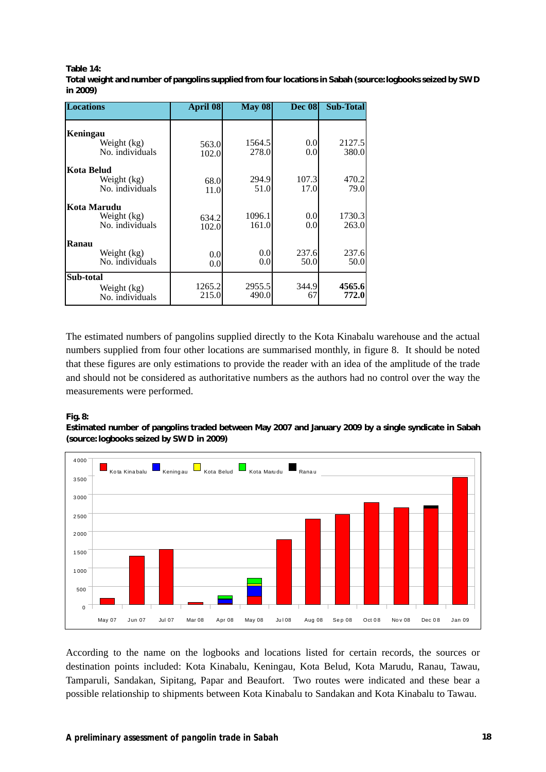#### **Table 14:**

**Total weight and number of pangolins supplied from four locations in Sabah (source:logbooks seized by SWD in 2009)**

| <b>Locations</b>                              | April 08        | May 08          | <b>Dec 08</b>           | <b>Sub-Total</b> |
|-----------------------------------------------|-----------------|-----------------|-------------------------|------------------|
| Keningau<br>Weight (kg)<br>No. individuals    | 563.0<br>102.0  | 1564.5<br>278.0 | 0.0 <sub>l</sub><br>0.0 | 2127.5<br>380.0  |
| Kota Belud<br>Weight (kg)<br>No. individuals  | 68.0<br>11.0    | 294.9<br>51.0   | 107.3<br>17.0           | 470.2<br>79.0    |
| Kota Marudu<br>Weight (kg)<br>No. individuals | 634.2<br>102.0  | 1096.1<br>161.0 | 0.0<br>0.0              | 1730.3<br>263.0  |
| Ranau<br>Weight (kg)<br>No. individuals       | 0.0<br>0.0      | 0.0<br>0.0      | 237.6<br>50.0           | 237.6<br>50.0    |
| Sub-total<br>Weight (kg)<br>No. individuals   | 1265.2<br>215.0 | 2955.5<br>490.0 | 344.9<br>67             | 4565.6<br>772.0  |

The estimated numbers of pangolins supplied directly to the Kota Kinabalu warehouse and the actual numbers supplied from four other locations are summarised monthly, in figure 8. It should be noted that these figures are only estimations to provide the reader with an idea of the amplitude of the trade and should not be considered as authoritative numbers as the authors had no control over the way the measurements were performed.

#### **Fig. 8:**

**Estimated number of pangolins traded between May 2007 and January 2009 by a single syndicate in Sabah (source: logbooks seized by SWD in 2009)**



According to the name on the logbooks and locations listed for certain records, the sources or destination points included: Kota Kinabalu, Keningau, Kota Belud, Kota Marudu, Ranau, Tawau, Tamparuli, Sandakan, Sipitang, Papar and Beaufort. Two routes were indicated and these bear a possible relationship to shipments between Kota Kinabalu to Sandakan and Kota Kinabalu to Tawau.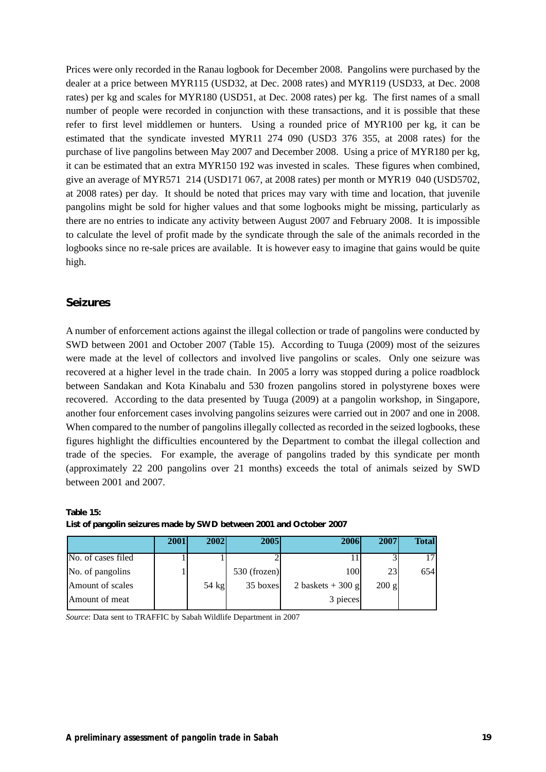Prices were only recorded in the Ranau logbook for December 2008. Pangolins were purchased by the dealer at a price between MYR115 (USD32, at Dec. 2008 rates) and MYR119 (USD33, at Dec. 2008 rates) per kg and scales for MYR180 (USD51, at Dec. 2008 rates) per kg. The first names of a small number of people were recorded in conjunction with these transactions, and it is possible that these refer to first level middlemen or hunters. Using a rounded price of MYR100 per kg, it can be estimated that the syndicate invested MYR11 274 090 (USD3 376 355, at 2008 rates) for the purchase of live pangolins between May 2007 and December 2008. Using a price of MYR180 per kg, it can be estimated that an extra MYR150 192 was invested in scales. These figures when combined, give an average of MYR571 214 (USD171 067, at 2008 rates) per month or MYR19 040 (USD5702, at 2008 rates) per day. It should be noted that prices may vary with time and location, that juvenile pangolins might be sold for higher values and that some logbooks might be missing, particularly as there are no entries to indicate any activity between August 2007 and February 2008. It is impossible to calculate the level of profit made by the syndicate through the sale of the animals recorded in the logbooks since no re-sale prices are available. It is however easy to imagine that gains would be quite high.

#### **Seizures**

A number of enforcement actions against the illegal collection or trade of pangolins were conducted by SWD between 2001 and October 2007 (Table 15). According to Tuuga (2009) most of the seizures were made at the level of collectors and involved live pangolins or scales. Only one seizure was recovered at a higher level in the trade chain. In 2005 a lorry was stopped during a police roadblock between Sandakan and Kota Kinabalu and 530 frozen pangolins stored in polystyrene boxes were recovered. According to the data presented by Tuuga (2009) at a pangolin workshop, in Singapore, another four enforcement cases involving pangolins seizures were carried out in 2007 and one in 2008. When compared to the number of pangolins illegally collected as recorded in the seized logbooks, these figures highlight the difficulties encountered by the Department to combat the illegal collection and trade of the species. For example, the average of pangolins traded by this syndicate per month (approximately 22 200 pangolins over 21 months) exceeds the total of animals seized by SWD between 2001 and 2007.

|                    | 2001 | 2002    | <b>2005</b>    | 2006              | 2007            | <b>Total</b> |
|--------------------|------|---------|----------------|-------------------|-----------------|--------------|
| No. of cases filed |      |         |                |                   |                 |              |
| No. of pangolins   |      |         | $530$ (frozen) | 100               | 23              | 654          |
| Amount of scales   |      | $54$ kg | 35 boxes       | 2 baskets + 300 g | $200 \text{ g}$ |              |
| Amount of meat     |      |         |                | 3 pieces          |                 |              |

#### **Table 15:**

**List of pangolin seizures made by SWD between 2001 and October 2007**

*Source*: Data sent to TRAFFIC by Sabah Wildlife Department in 2007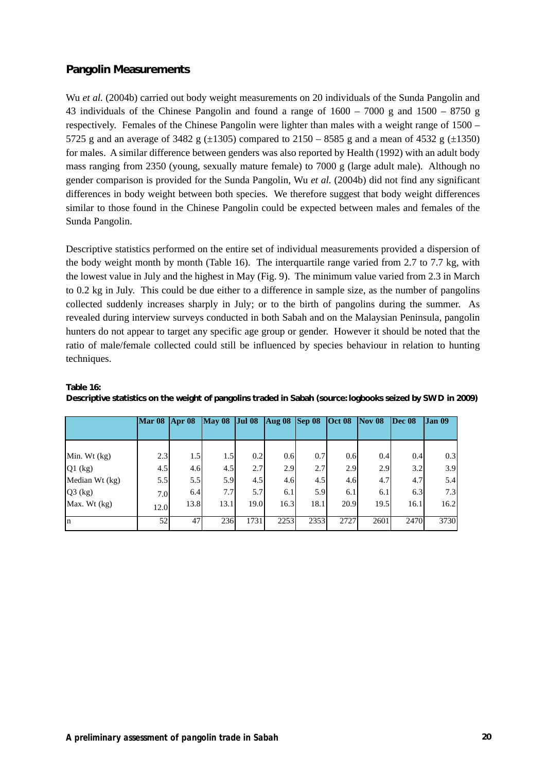## **Pangolin Measurements**

Wu *et al.* (2004b) carried out body weight measurements on 20 individuals of the Sunda Pangolin and 43 individuals of the Chinese Pangolin and found a range of 1600 – 7000 g and 1500 – 8750 g respectively. Females of the Chinese Pangolin were lighter than males with a weight range of 1500 – 5725 g and an average of 3482 g  $(\pm 1305)$  compared to 2150 – 8585 g and a mean of 4532 g  $(\pm 1350)$ for males. A similar difference between genders was also reported by Health (1992) with an adult body mass ranging from 2350 (young, sexually mature female) to 7000 g (large adult male). Although no gender comparison is provided for the Sunda Pangolin*,* Wu *et al.* (2004b) did not find any significant differences in body weight between both species. We therefore suggest that body weight differences similar to those found in the Chinese Pangolin could be expected between males and females of the Sunda Pangolin.

Descriptive statistics performed on the entire set of individual measurements provided a dispersion of the body weight month by month (Table 16). The interquartile range varied from 2.7 to 7.7 kg, with the lowest value in July and the highest in May (Fig. 9). The minimum value varied from 2.3 in March to 0.2 kg in July. This could be due either to a difference in sample size, as the number of pangolins collected suddenly increases sharply in July; or to the birth of pangolins during the summer. As revealed during interview surveys conducted in both Sabah and on the Malaysian Peninsula, pangolin hunters do not appear to target any specific age group or gender. However it should be noted that the ratio of male/female collected could still be influenced by species behaviour in relation to hunting techniques.

|                | $Mar 08$ | Apr 08 | <b>May 08</b> | $Jul$ 08 | <b>Aug 08 Sep 08 Oct 08</b> |      |      | $\sqrt{N}$ Nov 08 | Dec 08 | <b>Jan 09</b> |
|----------------|----------|--------|---------------|----------|-----------------------------|------|------|-------------------|--------|---------------|
|                |          |        |               |          |                             |      |      |                   |        |               |
|                |          |        |               |          |                             |      |      |                   |        |               |
| Min. Wt (kg)   | 2.3      | 1.5    | 1.5           | 0.2      | 0.6                         | 0.7  | 0.6  | 0.4               | 0.4    | 0.3           |
| $Q1$ (kg)      | 4.5      | 4.6    | 4.5           | 2.7      | 2.9                         | 2.7  | 2.9  | 2.9               | 3.2    | 3.9           |
| Median Wt (kg) | 5.5      | 5.5    | 5.9           | 4.5      | 4.6                         | 4.5  | 4.6  | 4.7               | 4.7    | 5.4           |
| $Q3$ (kg)      | 7.0      | 6.4    | 7.7           | 5.7      | 6.1                         | 5.9  | 6.1  | 6.1               | 6.3    | 7.3           |
| Max. Wt (kg)   | 12.0     | 13.8   | 13.1          | 19.0     | 16.3                        | 18.1 | 20.9 | 19.5              | 16.1   | 16.2          |
| In             | 52       | 47     | 236           | 1731     | 2253                        | 2353 | 2727 | 2601              | 2470   | 3730          |

**Table 16:**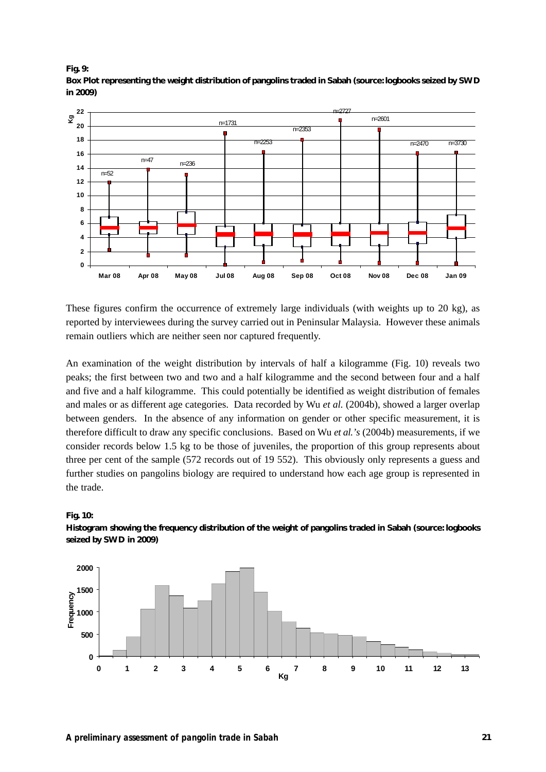



These figures confirm the occurrence of extremely large individuals (with weights up to 20 kg), as reported by interviewees during the survey carried out in Peninsular Malaysia. However these animals remain outliers which are neither seen nor captured frequently.

An examination of the weight distribution by intervals of half a kilogramme (Fig. 10) reveals two peaks; the first between two and two and a half kilogramme and the second between four and a half and five and a half kilogramme. This could potentially be identified as weight distribution of females and males or as different age categories. Data recorded by Wu *et al.* (2004b), showed a larger overlap between genders. In the absence of any information on gender or other specific measurement, it is therefore difficult to draw any specific conclusions. Based on Wu *et al.'s* (2004b) measurements, if we consider records below 1.5 kg to be those of juveniles, the proportion of this group represents about three per cent of the sample (572 records out of 19 552). This obviously only represents a guess and further studies on pangolins biology are required to understand how each age group is represented in the trade.





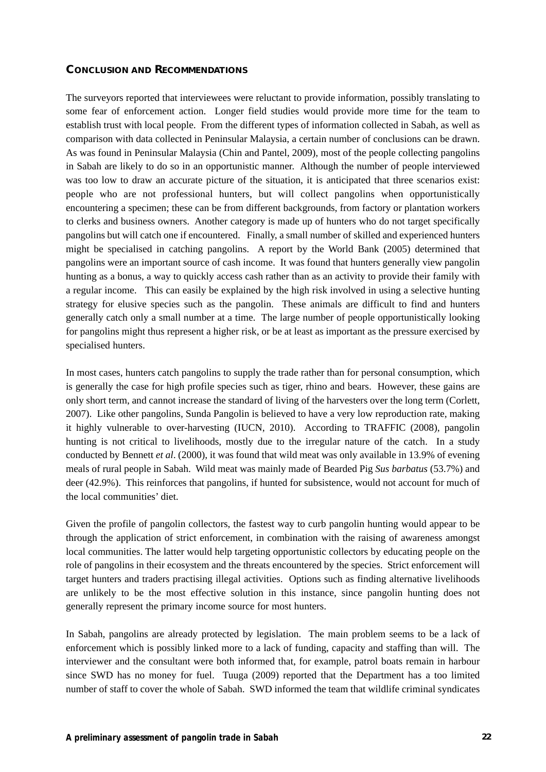#### **CONCLUSION AND RECOMMENDATIONS**

The surveyors reported that interviewees were reluctant to provide information, possibly translating to some fear of enforcement action. Longer field studies would provide more time for the team to establish trust with local people. From the different types of information collected in Sabah, as well as comparison with data collected in Peninsular Malaysia, a certain number of conclusions can be drawn. As was found in Peninsular Malaysia (Chin and Pantel, 2009), most of the people collecting pangolins in Sabah are likely to do so in an opportunistic manner. Although the number of people interviewed was too low to draw an accurate picture of the situation, it is anticipated that three scenarios exist: people who are not professional hunters, but will collect pangolins when opportunistically encountering a specimen; these can be from different backgrounds, from factory or plantation workers to clerks and business owners. Another category is made up of hunters who do not target specifically pangolins but will catch one if encountered. Finally, a small number of skilled and experienced hunters might be specialised in catching pangolins. A report by the World Bank (2005) determined that pangolins were an important source of cash income. It was found that hunters generally view pangolin hunting as a bonus, a way to quickly access cash rather than as an activity to provide their family with a regular income. This can easily be explained by the high risk involved in using a selective hunting strategy for elusive species such as the pangolin. These animals are difficult to find and hunters generally catch only a small number at a time. The large number of people opportunistically looking for pangolins might thus represent a higher risk, or be at least as important as the pressure exercised by specialised hunters.

In most cases, hunters catch pangolins to supply the trade rather than for personal consumption, which is generally the case for high profile species such as tiger, rhino and bears. However, these gains are only short term, and cannot increase the standard of living of the harvesters over the long term (Corlett, 2007). Like other pangolins, Sunda Pangolin is believed to have a very low reproduction rate, making it highly vulnerable to over-harvesting (IUCN, 2010). According to TRAFFIC (2008), pangolin hunting is not critical to livelihoods, mostly due to the irregular nature of the catch. In a study conducted by Bennett *et al*. (2000), it was found that wild meat was only available in 13.9% of evening meals of rural people in Sabah. Wild meat was mainly made of Bearded Pig *Sus barbatus* (53.7%) and deer (42.9%). This reinforces that pangolins, if hunted for subsistence, would not account for much of the local communities' diet.

Given the profile of pangolin collectors, the fastest way to curb pangolin hunting would appear to be through the application of strict enforcement, in combination with the raising of awareness amongst local communities. The latter would help targeting opportunistic collectors by educating people on the role of pangolins in their ecosystem and the threats encountered by the species. Strict enforcement will target hunters and traders practising illegal activities. Options such as finding alternative livelihoods are unlikely to be the most effective solution in this instance, since pangolin hunting does not generally represent the primary income source for most hunters.

In Sabah, pangolins are already protected by legislation. The main problem seems to be a lack of enforcement which is possibly linked more to a lack of funding, capacity and staffing than will. The interviewer and the consultant were both informed that, for example, patrol boats remain in harbour since SWD has no money for fuel. Tuuga (2009) reported that the Department has a too limited number of staff to cover the whole of Sabah. SWD informed the team that wildlife criminal syndicates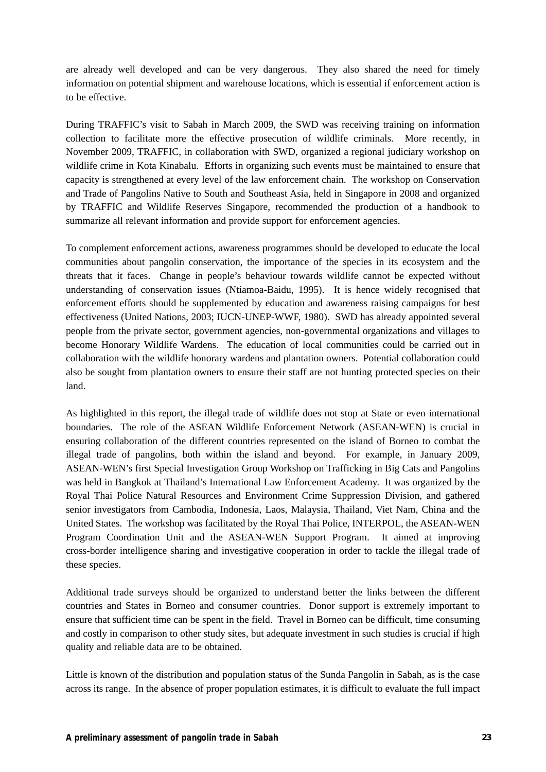are already well developed and can be very dangerous. They also shared the need for timely information on potential shipment and warehouse locations, which is essential if enforcement action is to be effective.

During TRAFFIC's visit to Sabah in March 2009, the SWD was receiving training on information collection to facilitate more the effective prosecution of wildlife criminals. More recently, in November 2009, TRAFFIC, in collaboration with SWD, organized a regional judiciary workshop on wildlife crime in Kota Kinabalu. Efforts in organizing such events must be maintained to ensure that capacity is strengthened at every level of the law enforcement chain. The workshop on Conservation and Trade of Pangolins Native to South and Southeast Asia, held in Singapore in 2008 and organized by TRAFFIC and Wildlife Reserves Singapore, recommended the production of a handbook to summarize all relevant information and provide support for enforcement agencies.

To complement enforcement actions, awareness programmes should be developed to educate the local communities about pangolin conservation, the importance of the species in its ecosystem and the threats that it faces. Change in people's behaviour towards wildlife cannot be expected without understanding of conservation issues (Ntiamoa-Baidu, 1995). It is hence widely recognised that enforcement efforts should be supplemented by education and awareness raising campaigns for best effectiveness (United Nations, 2003; IUCN-UNEP-WWF, 1980). SWD has already appointed several people from the private sector, government agencies, non-governmental organizations and villages to become Honorary Wildlife Wardens. The education of local communities could be carried out in collaboration with the wildlife honorary wardens and plantation owners. Potential collaboration could also be sought from plantation owners to ensure their staff are not hunting protected species on their land.

As highlighted in this report, the illegal trade of wildlife does not stop at State or even international boundaries. The role of the ASEAN Wildlife Enforcement Network (ASEAN-WEN) is crucial in ensuring collaboration of the different countries represented on the island of Borneo to combat the illegal trade of pangolins, both within the island and beyond. For example, in January 2009, ASEAN-WEN's first Special Investigation Group Workshop on Trafficking in Big Cats and Pangolins was held in Bangkok at Thailand's International Law Enforcement Academy. It was organized by the Royal Thai Police Natural Resources and Environment Crime Suppression Division, and gathered senior investigators from Cambodia, Indonesia, Laos, Malaysia, Thailand, Viet Nam, China and the United States. The workshop was facilitated by the Royal Thai Police, INTERPOL, the ASEAN-WEN Program Coordination Unit and the ASEAN-WEN Support Program. It aimed at improving cross-border intelligence sharing and investigative cooperation in order to tackle the illegal trade of these species.

Additional trade surveys should be organized to understand better the links between the different countries and States in Borneo and consumer countries. Donor support is extremely important to ensure that sufficient time can be spent in the field. Travel in Borneo can be difficult, time consuming and costly in comparison to other study sites, but adequate investment in such studies is crucial if high quality and reliable data are to be obtained.

Little is known of the distribution and population status of the Sunda Pangolin in Sabah, as is the case across its range. In the absence of proper population estimates, it is difficult to evaluate the full impact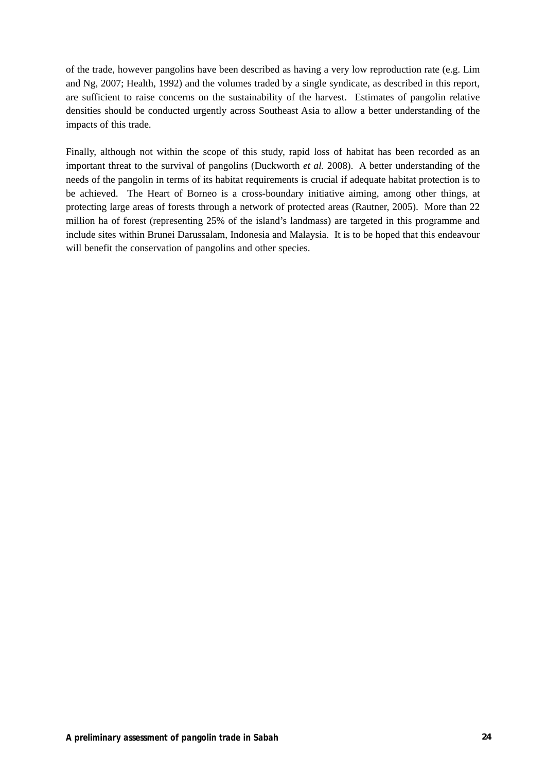of the trade, however pangolins have been described as having a very low reproduction rate (e.g. Lim and Ng, 2007; Health, 1992) and the volumes traded by a single syndicate, as described in this report, are sufficient to raise concerns on the sustainability of the harvest. Estimates of pangolin relative densities should be conducted urgently across Southeast Asia to allow a better understanding of the impacts of this trade.

Finally, although not within the scope of this study, rapid loss of habitat has been recorded as an important threat to the survival of pangolins (Duckworth *et al.* 2008). A better understanding of the needs of the pangolin in terms of its habitat requirements is crucial if adequate habitat protection is to be achieved. The Heart of Borneo is a cross-boundary initiative aiming, among other things, at protecting large areas of forests through a network of protected areas (Rautner, 2005). More than 22 million ha of forest (representing 25% of the island's landmass) are targeted in this programme and include sites within Brunei Darussalam, Indonesia and Malaysia. It is to be hoped that this endeavour will benefit the conservation of pangolins and other species.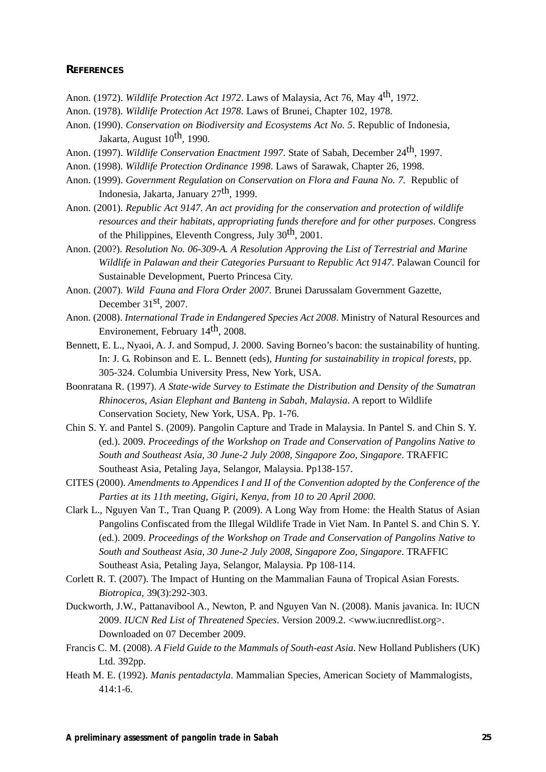#### **REFERENCES**

- Anon. (1972). *Wildlife Protection Act 1972*. Laws of Malaysia, Act 76, May 4th, 1972.
- Anon. (1978). *Wildlife Protection Act 1978*. Laws of Brunei, Chapter 102, 1978.
- Anon. (1990). *Conservation on Biodiversity and Ecosystems Act No. 5*. Republic of Indonesia, Jakarta, August  $10^{th}$ , 1990.
- Anon. (1997). *Wildlife Conservation Enactment 1997*. State of Sabah, December 24<sup>th</sup>, 1997.
- Anon. (1998). *Wildlife Protection Ordinance 1998*. Laws of Sarawak, Chapter 26, 1998.
- Anon. (1999). *Government Regulation on Conservation on Flora and Fauna No. 7.* Republic of Indonesia, Jakarta, January 27th, 1999.
- Anon. (2001). *Republic Act 9147. An act providing for the conservation and protection of wildlife resources and their habitats, appropriating funds therefore and for other purposes*. Congress of the Philippines, Eleventh Congress, July  $30<sup>th</sup>$ , 2001.
- Anon. (200?). *Resolution No. 06-309-A. A Resolution Approving the List of Terrestrial and Marine Wildlife in Palawan and their Categories Pursuant to Republic Act 9147*. Palawan Council for Sustainable Development, Puerto Princesa City.
- Anon. (2007). *Wild Fauna and Flora Order 2007*. Brunei Darussalam Government Gazette, December 31st, 2007.
- Anon. (2008). *International Trade in Endangered Species Act 2008*. Ministry of Natural Resources and Environement, February 14th, 2008.
- Bennett, E. L., Nyaoi, A. J. and Sompud, J. 2000. Saving Borneo's bacon: the sustainability of hunting. In: J. G. Robinson and E. L. Bennett (eds), *Hunting for sustainability in tropical forests*, pp. 305-324. Columbia University Press, New York, USA.
- Boonratana R. (1997). *A State-wide Survey to Estimate the Distribution and Density of the Sumatran Rhinoceros, Asian Elephant and Banteng in Sabah, Malaysia*. A report to Wildlife Conservation Society, New York, USA. Pp. 1-76.
- Chin S. Y. and Pantel S. (2009). Pangolin Capture and Trade in Malaysia. In Pantel S. and Chin S. Y. (ed.). 2009. *Proceedings of the Workshop on Trade and Conservation of Pangolins Native to South and Southeast Asia, 30 June-2 July 2008, Singapore Zoo, Singapore*. TRAFFIC Southeast Asia, Petaling Jaya, Selangor, Malaysia. Pp138-157.
- CITES (2000). *Amendments to Appendices I and II of the Convention adopted by the Conference of the Parties at its 11th meeting, Gigiri, Kenya, from 10 to 20 April 2000*.
- Clark L., Nguyen Van T., Tran Quang P. (2009). A Long Way from Home: the Health Status of Asian Pangolins Confiscated from the Illegal Wildlife Trade in Viet Nam. In Pantel S. and Chin S. Y. (ed.). 2009. *Proceedings of the Workshop on Trade and Conservation of Pangolins Native to South and Southeast Asia, 30 June-2 July 2008, Singapore Zoo, Singapore*. TRAFFIC Southeast Asia, Petaling Jaya, Selangor, Malaysia. Pp 108-114.
- Corlett R. T. (2007). The Impact of Hunting on the Mammalian Fauna of Tropical Asian Forests. *Biotropica*, 39(3):292-303.
- Duckworth, J.W., Pattanavibool A., Newton, P. and Nguyen Van N. (2008). Manis javanica. In: IUCN 2009. *IUCN Red List of Threatened Species*. Version 2009.2. <www.iucnredlist.org>. Downloaded on 07 December 2009.
- Francis C. M. (2008). *A Field Guide to the Mammals of South-east Asia*. New Holland Publishers (UK) Ltd. 392pp.
- Heath M. E. (1992). *Manis pentadactyla*. Mammalian Species, American Society of Mammalogists, 414:1-6.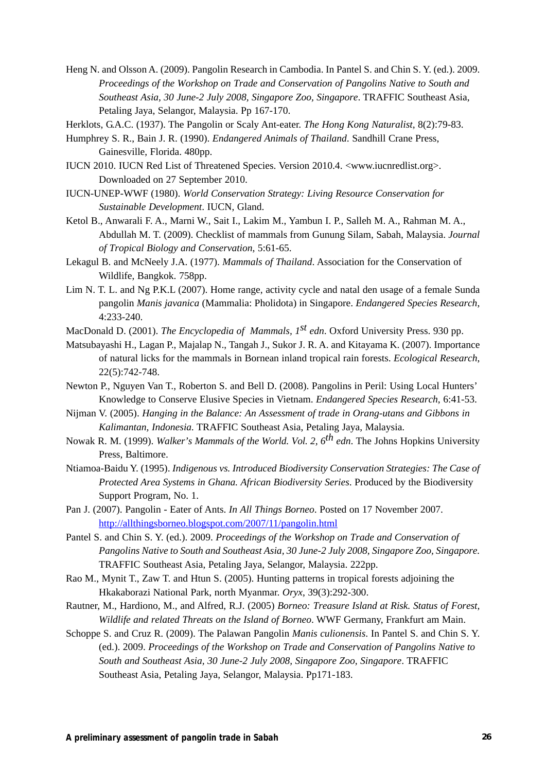- Heng N. and Olsson A. (2009). Pangolin Research in Cambodia. In Pantel S. and Chin S. Y. (ed.). 2009. *Proceedings of the Workshop on Trade and Conservation of Pangolins Native to South and Southeast Asia, 30 June-2 July 2008, Singapore Zoo, Singapore*. TRAFFIC Southeast Asia, Petaling Jaya, Selangor, Malaysia. Pp 167-170.
- Herklots, G.A.C. (1937). The Pangolin or Scaly Ant-eater. *The Hong Kong Naturalist*, 8(2):79-83.
- Humphrey S. R., Bain J. R. (1990). *Endangered Animals of Thailand*. Sandhill Crane Press, Gainesville, Florida. 480pp.
- IUCN 2010. IUCN Red List of Threatened Species. Version 2010.4. <www.iucnredlist.org>. Downloaded on 27 September 2010.
- IUCN-UNEP-WWF (1980). *World Conservation Strategy: Living Resource Conservation for Sustainable Development*. IUCN, Gland.
- Ketol B., Anwarali F. A., Marni W., Sait I., Lakim M., Yambun I. P., Salleh M. A., Rahman M. A., Abdullah M. T. (2009). Checklist of mammals from Gunung Silam, Sabah, Malaysia. *Journal of Tropical Biology and Conservation*, 5:61-65.
- Lekagul B. and McNeely J.A. (1977). *Mammals of Thailand*. Association for the Conservation of Wildlife, Bangkok. 758pp.
- Lim N. T. L. and Ng P.K.L (2007). Home range, activity cycle and natal den usage of a female Sunda pangolin *Manis javanica* (Mammalia: Pholidota) in Singapore. *Endangered Species Research*, 4:233-240.
- MacDonald D. (2001). *The Encyclopedia of Mammals, 1st edn*. Oxford University Press. 930 pp.
- Matsubayashi H., Lagan P., Majalap N., Tangah J., Sukor J. R. A. and Kitayama K. (2007). Importance of natural licks for the mammals in Bornean inland tropical rain forests. *Ecological Research*, 22(5):742-748.
- Newton P., Nguyen Van T., Roberton S. and Bell D. (2008). Pangolins in Peril: Using Local Hunters' Knowledge to Conserve Elusive Species in Vietnam. *Endangered Species Research*, 6:41-53.
- Nijman V. (2005). *Hanging in the Balance: An Assessment of trade in Orang-utans and Gibbons in Kalimantan, Indonesia.* TRAFFIC Southeast Asia, Petaling Jaya, Malaysia.
- Nowak R. M. (1999). *Walker's Mammals of the World. Vol. 2, 6th edn*. The Johns Hopkins University Press, Baltimore.
- Ntiamoa-Baidu Y. (1995). *Indigenous vs. Introduced Biodiversity Conservation Strategies: The Case of Protected Area Systems in Ghana. African Biodiversity Series*. Produced by the Biodiversity Support Program, No. 1.
- Pan J. (2007). Pangolin Eater of Ants. *In All Things Borneo*. Posted on 17 November 2007. http://allthingsborneo.blogspot.com/2007/11/pangolin.html
- Pantel S. and Chin S. Y. (ed.). 2009. *Proceedings of the Workshop on Trade and Conservation of Pangolins Native to South and Southeast Asia, 30 June-2 July 2008, Singapore Zoo, Singapore.* TRAFFIC Southeast Asia, Petaling Jaya, Selangor, Malaysia. 222pp.
- Rao M., Mynit T., Zaw T. and Htun S. (2005). Hunting patterns in tropical forests adjoining the Hkakaborazi National Park, north Myanmar. *Oryx*, 39(3):292-300.
- Rautner, M., Hardiono, M., and Alfred, R.J. (2005) *Borneo: Treasure Island at Risk. Status of Forest, Wildlife and related Threats on the Island of Borneo*. WWF Germany, Frankfurt am Main.
- Schoppe S. and Cruz R. (2009). The Palawan Pangolin *Manis culionensis*. In Pantel S. and Chin S. Y. (ed.). 2009. *Proceedings of the Workshop on Trade and Conservation of Pangolins Native to South and Southeast Asia, 30 June-2 July 2008, Singapore Zoo, Singapore*. TRAFFIC Southeast Asia, Petaling Jaya, Selangor, Malaysia. Pp171-183.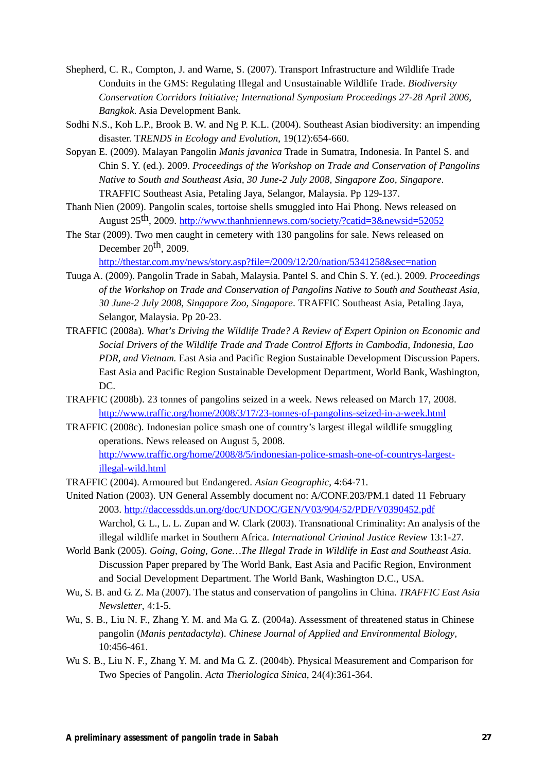- Shepherd, C. R., Compton, J. and Warne, S. (2007). Transport Infrastructure and Wildlife Trade Conduits in the GMS: Regulating Illegal and Unsustainable Wildlife Trade. *Biodiversity Conservation Corridors Initiative; International Symposium Proceedings 27-28 April 2006, Bangkok*. Asia Development Bank.
- Sodhi N.S., Koh L.P., Brook B. W. and Ng P. K.L. (2004). Southeast Asian biodiversity: an impending disaster. T*RENDS in Ecology and Evolution*, 19(12):654-660.
- Sopyan E. (2009). Malayan Pangolin *Manis javanica* Trade in Sumatra, Indonesia. In Pantel S. and Chin S. Y. (ed.). 2009. *Proceedings of the Workshop on Trade and Conservation of Pangolins Native to South and Southeast Asia, 30 June-2 July 2008, Singapore Zoo, Singapore*. TRAFFIC Southeast Asia, Petaling Jaya, Selangor, Malaysia. Pp 129-137.
- Thanh Nien (2009). Pangolin scales, tortoise shells smuggled into Hai Phong. News released on August 25th, 2009. http://www.thanhniennews.com/society/?catid=3&newsid=52052
- The Star (2009). Two men caught in cemetery with 130 pangolins for sale. News released on December  $20^{th}$ ,  $2009$ .

http://thestar.com.my/news/story.asp?file=/2009/12/20/nation/5341258&sec=nation

- Tuuga A. (2009). Pangolin Trade in Sabah, Malaysia. Pantel S. and Chin S. Y. (ed.). 2009*. Proceedings of the Workshop on Trade and Conservation of Pangolins Native to South and Southeast Asia, 30 June-2 July 2008, Singapore Zoo, Singapore*. TRAFFIC Southeast Asia, Petaling Jaya, Selangor, Malaysia. Pp 20-23.
- TRAFFIC (2008a). *What's Driving the Wildlife Trade? A Review of Expert Opinion on Economic and Social Drivers of the Wildlife Trade and Trade Control Efforts in Cambodia, Indonesia, Lao PDR, and Vietnam.* East Asia and Pacific Region Sustainable Development Discussion Papers. East Asia and Pacific Region Sustainable Development Department, World Bank, Washington, DC.
- TRAFFIC (2008b). 23 tonnes of pangolins seized in a week. News released on March 17, 2008. http://www.traffic.org/home/2008/3/17/23-tonnes-of-pangolins-seized-in-a-week.html
- TRAFFIC (2008c). Indonesian police smash one of country's largest illegal wildlife smuggling operations. News released on August 5, 2008. http://www.traffic.org/home/2008/8/5/indonesian-police-smash-one-of-countrys-largestillegal-wild.html
- TRAFFIC (2004). Armoured but Endangered. *Asian Geographic*, 4:64-71.
- United Nation (2003). UN General Assembly document no: A/CONF.203/PM.1 dated 11 February 2003. http://daccessdds.un.org/doc/UNDOC/GEN/V03/904/52/PDF/V0390452.pdf Warchol, G. L., L. L. Zupan and W. Clark (2003). Transnational Criminality: An analysis of the illegal wildlife market in Southern Africa. *International Criminal Justice Review* 13:1-27.
- World Bank (2005). *Going, Going, Gone…The Illegal Trade in Wildlife in East and Southeast Asia*. Discussion Paper prepared by The World Bank, East Asia and Pacific Region, Environment and Social Development Department. The World Bank, Washington D.C., USA.
- Wu, S. B. and G. Z. Ma (2007). The status and conservation of pangolins in China. *TRAFFIC East Asia Newsletter*, 4:1-5.
- Wu, S. B., Liu N. F., Zhang Y. M. and Ma G. Z. (2004a). Assessment of threatened status in Chinese pangolin (*Manis pentadactyla*). *Chinese Journal of Applied and Environmental Biology*, 10:456-461.
- Wu S. B., Liu N. F., Zhang Y. M. and Ma G. Z. (2004b). Physical Measurement and Comparison for Two Species of Pangolin. *Acta Theriologica Sinica*, 24(4):361-364.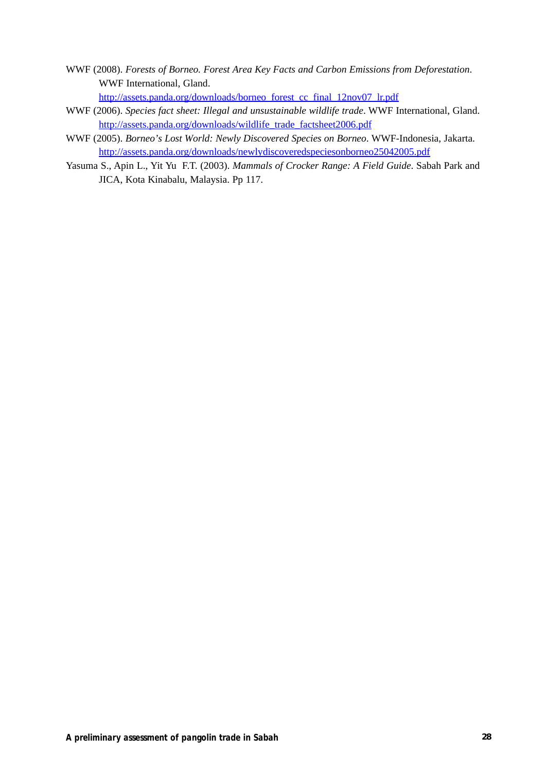- WWF (2008). *Forests of Borneo. Forest Area Key Facts and Carbon Emissions from Deforestation*. WWF International, Gland.
	- http://assets.panda.org/downloads/borneo\_forest\_cc\_final\_12nov07\_lr.pdf
- WWF (2006). *Species fact sheet: Illegal and unsustainable wildlife trade*. WWF International, Gland. http://assets.panda.org/downloads/wildlife\_trade\_factsheet2006.pdf
- WWF (2005). *Borneo's Lost World: Newly Discovered Species on Borneo*. WWF-Indonesia, Jakarta. http://assets.panda.org/downloads/newlydiscoveredspeciesonborneo25042005.pdf
- Yasuma S., Apin L., Yit Yu F.T. (2003). *Mammals of Crocker Range: A Field Guide*. Sabah Park and JICA, Kota Kinabalu, Malaysia. Pp 117.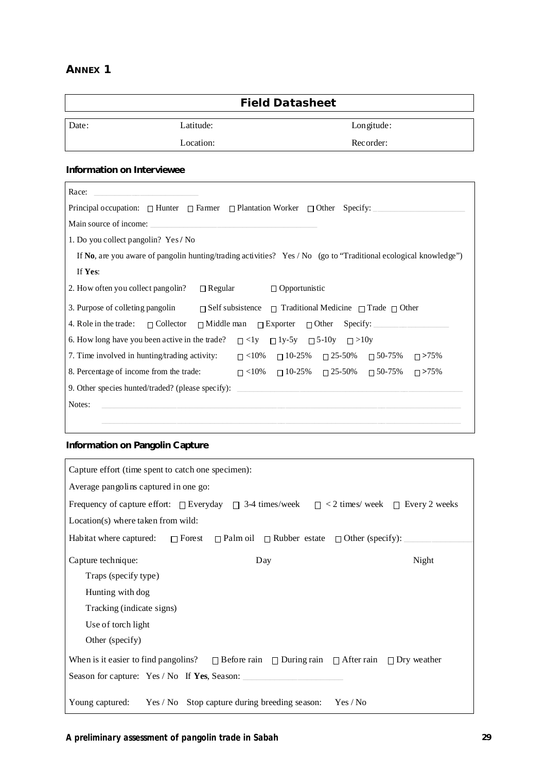## **ANNEX 1**

|       |           | <b>Field Datasheet</b> |
|-------|-----------|------------------------|
| Date: | Latitude: | Longitude:             |
|       | Location: | Recorder:              |

## **Information on Interviewee**

| Race:                                                                                                              |  |  |  |  |  |  |  |
|--------------------------------------------------------------------------------------------------------------------|--|--|--|--|--|--|--|
| Principal occupation: $\Box$ Hunter $\Box$ Farmer $\Box$ Plantation Worker $\Box$ Other Specify:                   |  |  |  |  |  |  |  |
| Main source of income:<br><u> 1980 - Jan Barbara (h. 1980).</u><br>1900 - Jan Barbara (h. 1900).                   |  |  |  |  |  |  |  |
| 1. Do you collect pangolin? Yes / No                                                                               |  |  |  |  |  |  |  |
| If No, are you aware of pangolin hunting/trading activities? Yes / No (go to "Traditional ecological knowledge")   |  |  |  |  |  |  |  |
| If Yes:                                                                                                            |  |  |  |  |  |  |  |
| 2. How often you collect pangolin?<br>$\Box$ Regular<br>$\Box$ Opportunistic                                       |  |  |  |  |  |  |  |
| 3. Purpose of colleting pangolin $\Box$ Self subsistence $\Box$ Traditional Medicine $\Box$ Trade $\Box$ Other     |  |  |  |  |  |  |  |
|                                                                                                                    |  |  |  |  |  |  |  |
| 6. How long have you been active in the trade? $\Box$ <1y $\Box$ 1y-5y $\Box$ 5-10y $\Box$ >10y                    |  |  |  |  |  |  |  |
| 7. Time involved in hunting/trading activity: $\Box$ <10% $\Box$ 10-25% $\Box$ 25-50% $\Box$ 50-75%<br>$\Box$ >75% |  |  |  |  |  |  |  |
| 8. Percentage of income from the trade: $\Box$ <10% $\Box$ 10-25% $\Box$ 25-50% $\Box$ 50-75%<br>$\Box$ >75%       |  |  |  |  |  |  |  |
| 9. Other species hunted/traded? (please specify):                                                                  |  |  |  |  |  |  |  |
| Notes:                                                                                                             |  |  |  |  |  |  |  |
|                                                                                                                    |  |  |  |  |  |  |  |

## **Information on Pangolin Capture**

| Capture effort (time spent to catch one specimen):                                                              |  |  |  |  |  |  |
|-----------------------------------------------------------------------------------------------------------------|--|--|--|--|--|--|
| Average pangolins captured in one go:                                                                           |  |  |  |  |  |  |
| Frequency of capture effort: $\Box$ Everyday $\Box$ 3-4 times/week $\Box$ < 2 times/week $\Box$ Every 2 weeks   |  |  |  |  |  |  |
| $Location(s)$ where taken from wild:                                                                            |  |  |  |  |  |  |
| Habitat where captured: $\Box$ Forest $\Box$ Palm oil $\Box$ Rubber estate $\Box$ Other (specify):              |  |  |  |  |  |  |
| Capture technique:<br>Night<br>Day                                                                              |  |  |  |  |  |  |
| Traps (specify type)                                                                                            |  |  |  |  |  |  |
| Hunting with dog                                                                                                |  |  |  |  |  |  |
| Tracking (indicate signs)                                                                                       |  |  |  |  |  |  |
| Use of torch light                                                                                              |  |  |  |  |  |  |
| Other (specify)                                                                                                 |  |  |  |  |  |  |
| When is it easier to find pangolins? $\Box$ Before rain $\Box$ During rain $\Box$ After rain $\Box$ Dry weather |  |  |  |  |  |  |
| Season for capture: Yes / No If Yes, Season:                                                                    |  |  |  |  |  |  |
| Young captured: Yes / No Stop capture during breeding season: Yes / No                                          |  |  |  |  |  |  |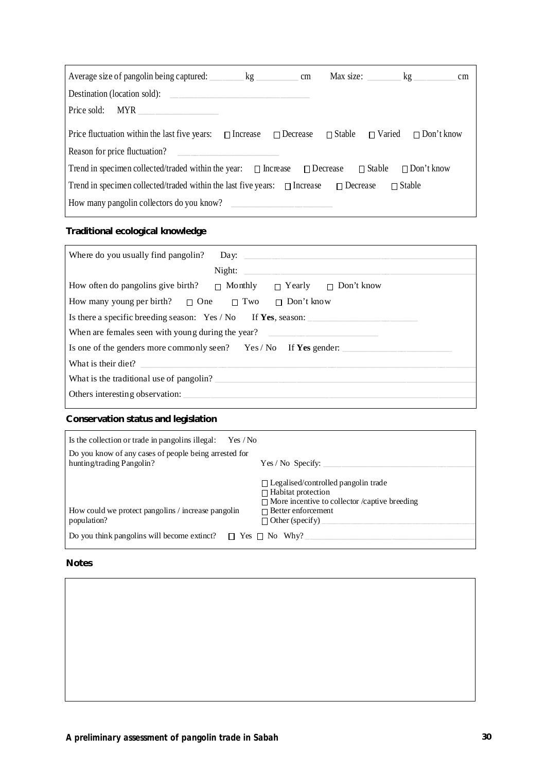| Average size of pangolin being captured: <u>________</u> kg _________                                                       |                                                                                                                     | cm |  |  | Max size: kg | cm |  |  |
|-----------------------------------------------------------------------------------------------------------------------------|---------------------------------------------------------------------------------------------------------------------|----|--|--|--------------|----|--|--|
| Destination (location sold):                                                                                                |                                                                                                                     |    |  |  |              |    |  |  |
| Price sold: MYR                                                                                                             |                                                                                                                     |    |  |  |              |    |  |  |
| Price fluctuation within the last five years: $\Box$ Increase $\Box$ Decrease $\Box$ Stable $\Box$ Varied $\Box$ Don't know |                                                                                                                     |    |  |  |              |    |  |  |
| Reason for price fluctuation?                                                                                               | <u> 1989 - Jan Barbarat, manazarta bashkar a shekara t</u>                                                          |    |  |  |              |    |  |  |
|                                                                                                                             | Trend in specimen collected/traded within the year: $\Box$ Increase $\Box$ Decrease $\Box$ Stable $\Box$ Don't know |    |  |  |              |    |  |  |
| Trend in specimen collected/traded within the last five years: $\Box$ Increase $\Box$ Decrease<br>$\Box$ Stable             |                                                                                                                     |    |  |  |              |    |  |  |
| How many pangolin collectors do you know?                                                                                   |                                                                                                                     |    |  |  |              |    |  |  |
|                                                                                                                             |                                                                                                                     |    |  |  |              |    |  |  |

## **Traditional ecological knowledge**

| Where do you usually find pangolin?                                               |  |  |
|-----------------------------------------------------------------------------------|--|--|
| Night:                                                                            |  |  |
| How often do pangolins give birth? $\Box$ Monthly $\Box$ Yearly $\Box$ Don't know |  |  |
| How many young per birth? $\Box$ One $\Box$ Two $\Box$ Don't know                 |  |  |
| Is there a specific breeding season: Yes / No If Yes, season:                     |  |  |
| When are females seen with young during the year?                                 |  |  |
| Is one of the genders more commonly seen? Yes/No If Yes gender:                   |  |  |
| What is their diet?                                                               |  |  |
| What is the traditional use of pangolin?                                          |  |  |
| Others interesting observation:                                                   |  |  |

## **Conservation status and legislation**

| Is the collection or trade in pangolins illegal: $Yes / No$                        |                                                                                                                                 |
|------------------------------------------------------------------------------------|---------------------------------------------------------------------------------------------------------------------------------|
| Do you know of any cases of people being arrested for<br>hunting/trading Pangolin? | Yes / No Specify:                                                                                                               |
|                                                                                    | $\Box$ Legalised/controlled pangolin trade<br>$\Box$ Habitat protection<br>$\Box$ More incentive to collector /captive breeding |
| How could we protect pangolins / increase pangolin                                 | $\Box$ Better enforcement                                                                                                       |
| population?                                                                        | $\Box$ Other (specify)                                                                                                          |
| Do you think pangolins will become extinct? $\Box$ Yes $\Box$ No Why?              |                                                                                                                                 |

#### **Notes**